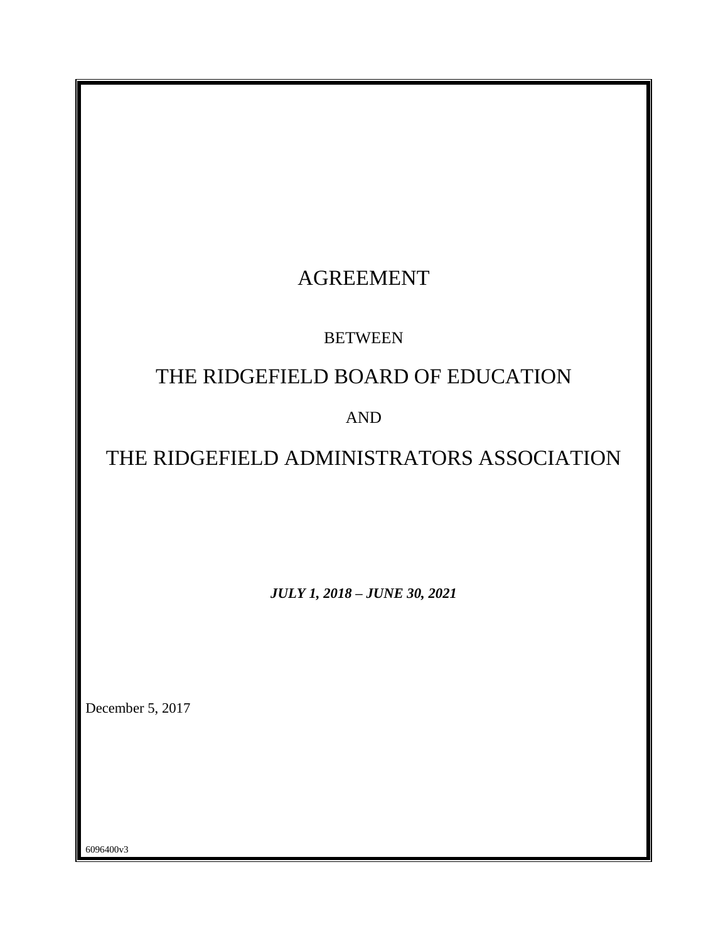| <b>AGREEMENT</b>                          |
|-------------------------------------------|
| <b>BETWEEN</b>                            |
| THE RIDGEFIELD BOARD OF EDUCATION         |
|                                           |
| <b>AND</b>                                |
| THE RIDGEFIELD ADMINISTRATORS ASSOCIATION |
|                                           |
|                                           |
|                                           |
| <b>JULY 1, 2018 - JUNE 30, 2021</b>       |
|                                           |
|                                           |
|                                           |
| December 5, 2017                          |
|                                           |
|                                           |
|                                           |
| 6096400v3                                 |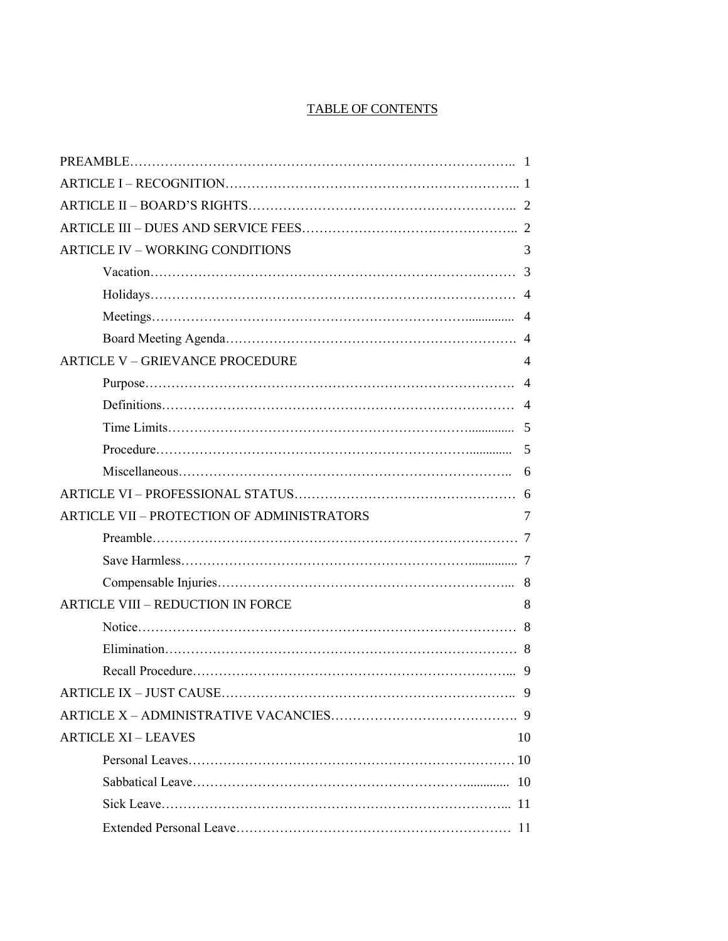# TABLE OF CONTENTS

| <b>ARTICLE IV - WORKING CONDITIONS</b>            | 3              |
|---------------------------------------------------|----------------|
|                                                   |                |
|                                                   |                |
|                                                   |                |
|                                                   |                |
| <b>ARTICLE V - GRIEVANCE PROCEDURE</b>            | 4              |
|                                                   | $\overline{4}$ |
|                                                   |                |
|                                                   |                |
|                                                   |                |
|                                                   | 6              |
|                                                   |                |
| <b>ARTICLE VII - PROTECTION OF ADMINISTRATORS</b> | 7              |
|                                                   |                |
|                                                   |                |
|                                                   |                |
| <b>ARTICLE VIII - REDUCTION IN FORCE</b>          | 8              |
|                                                   |                |
|                                                   |                |
|                                                   |                |
|                                                   |                |
|                                                   |                |
| <b>ARTICLE XI - LEAVES</b>                        | 10             |
|                                                   |                |
|                                                   |                |
|                                                   |                |
|                                                   |                |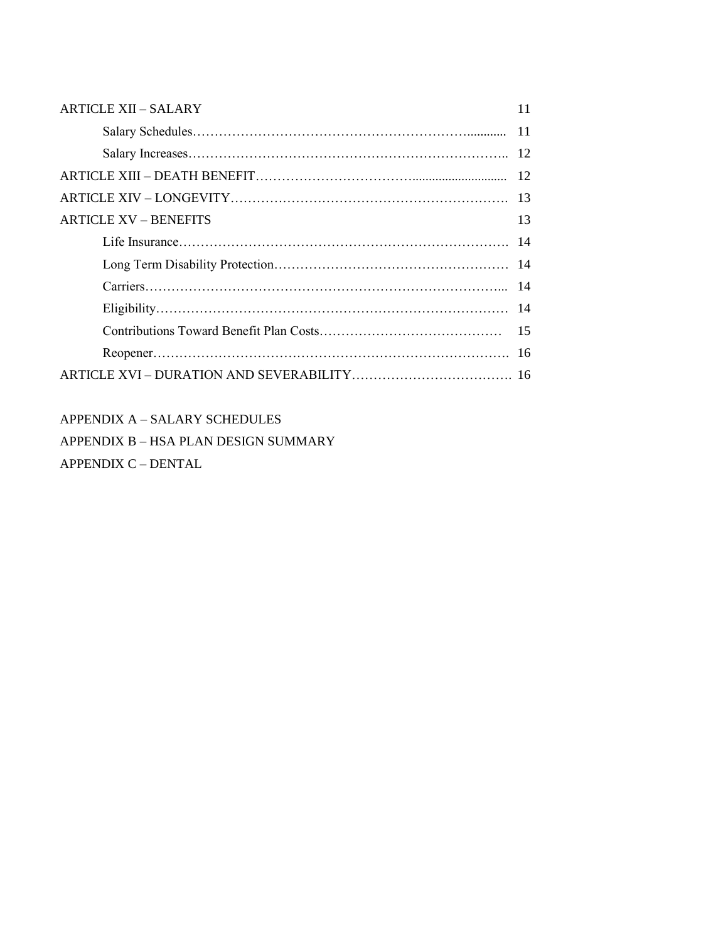| <b>ARTICLE XII - SALARY</b>  | 11 |
|------------------------------|----|
|                              |    |
|                              |    |
|                              |    |
|                              |    |
| <b>ARTICLE XV – BENEFITS</b> | 13 |
|                              |    |
|                              |    |
|                              |    |
|                              |    |
|                              |    |
|                              |    |
|                              |    |

APPENDIX A – SALARY SCHEDULES

APPENDIX B – HSA PLAN DESIGN SUMMARY APPENDIX C – DENTAL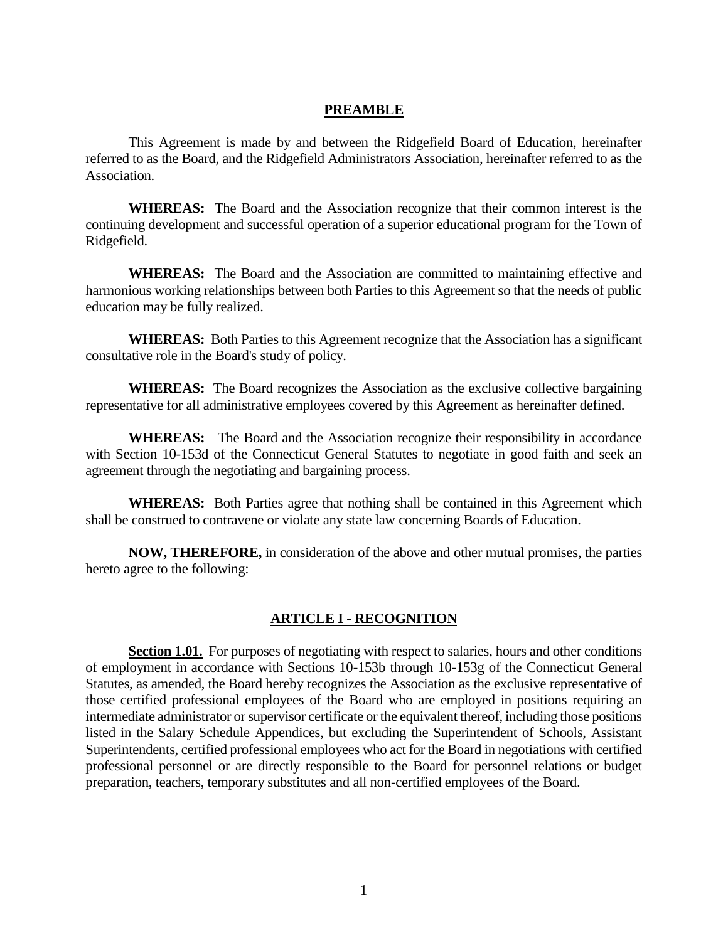#### **PREAMBLE**

This Agreement is made by and between the Ridgefield Board of Education, hereinafter referred to as the Board, and the Ridgefield Administrators Association, hereinafter referred to as the Association.

**WHEREAS:** The Board and the Association recognize that their common interest is the continuing development and successful operation of a superior educational program for the Town of Ridgefield.

**WHEREAS:** The Board and the Association are committed to maintaining effective and harmonious working relationships between both Parties to this Agreement so that the needs of public education may be fully realized.

**WHEREAS:** Both Parties to this Agreement recognize that the Association has a significant consultative role in the Board's study of policy.

**WHEREAS:** The Board recognizes the Association as the exclusive collective bargaining representative for all administrative employees covered by this Agreement as hereinafter defined.

**WHEREAS:** The Board and the Association recognize their responsibility in accordance with Section 10-153d of the Connecticut General Statutes to negotiate in good faith and seek an agreement through the negotiating and bargaining process.

**WHEREAS:** Both Parties agree that nothing shall be contained in this Agreement which shall be construed to contravene or violate any state law concerning Boards of Education.

**NOW, THEREFORE,** in consideration of the above and other mutual promises, the parties hereto agree to the following:

#### **ARTICLE I - RECOGNITION**

**Section 1.01.** For purposes of negotiating with respect to salaries, hours and other conditions of employment in accordance with Sections 10-153b through 10-153g of the Connecticut General Statutes, as amended, the Board hereby recognizes the Association as the exclusive representative of those certified professional employees of the Board who are employed in positions requiring an intermediate administrator or supervisor certificate or the equivalent thereof, including those positions listed in the Salary Schedule Appendices, but excluding the Superintendent of Schools, Assistant Superintendents, certified professional employees who act for the Board in negotiations with certified professional personnel or are directly responsible to the Board for personnel relations or budget preparation, teachers, temporary substitutes and all non-certified employees of the Board.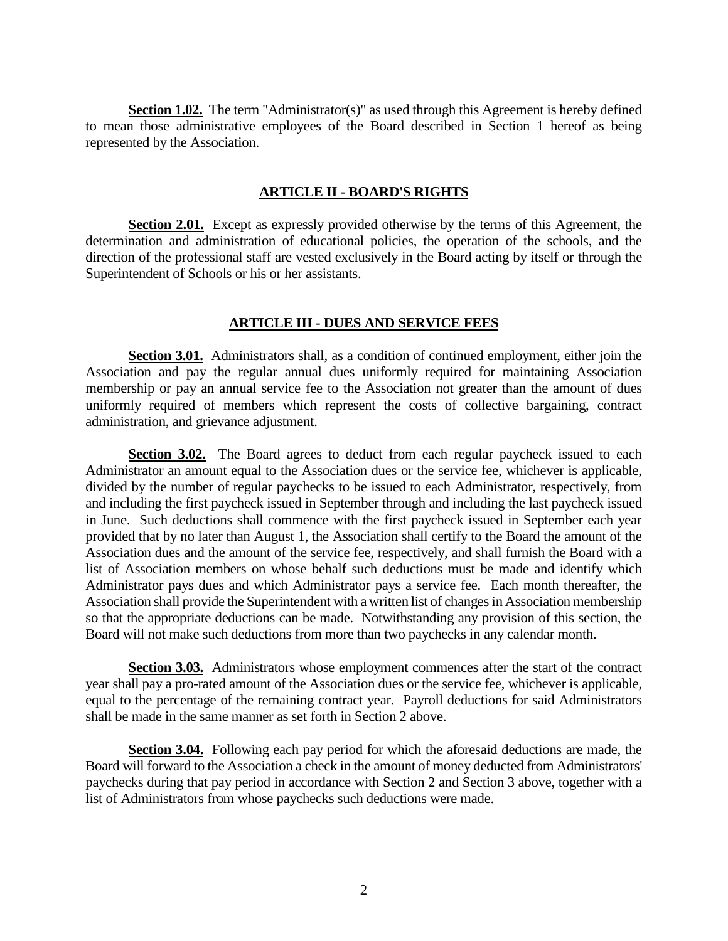**Section 1.02.** The term "Administrator(s)" as used through this Agreement is hereby defined to mean those administrative employees of the Board described in Section 1 hereof as being represented by the Association.

#### **ARTICLE II - BOARD'S RIGHTS**

**Section 2.01.** Except as expressly provided otherwise by the terms of this Agreement, the determination and administration of educational policies, the operation of the schools, and the direction of the professional staff are vested exclusively in the Board acting by itself or through the Superintendent of Schools or his or her assistants.

#### **ARTICLE III - DUES AND SERVICE FEES**

**Section 3.01.** Administrators shall, as a condition of continued employment, either join the Association and pay the regular annual dues uniformly required for maintaining Association membership or pay an annual service fee to the Association not greater than the amount of dues uniformly required of members which represent the costs of collective bargaining, contract administration, and grievance adjustment.

**Section 3.02.** The Board agrees to deduct from each regular paycheck issued to each Administrator an amount equal to the Association dues or the service fee, whichever is applicable, divided by the number of regular paychecks to be issued to each Administrator, respectively, from and including the first paycheck issued in September through and including the last paycheck issued in June. Such deductions shall commence with the first paycheck issued in September each year provided that by no later than August 1, the Association shall certify to the Board the amount of the Association dues and the amount of the service fee, respectively, and shall furnish the Board with a list of Association members on whose behalf such deductions must be made and identify which Administrator pays dues and which Administrator pays a service fee. Each month thereafter, the Association shall provide the Superintendent with a written list of changes in Association membership so that the appropriate deductions can be made. Notwithstanding any provision of this section, the Board will not make such deductions from more than two paychecks in any calendar month.

**Section 3.03.** Administrators whose employment commences after the start of the contract year shall pay a pro-rated amount of the Association dues or the service fee, whichever is applicable, equal to the percentage of the remaining contract year. Payroll deductions for said Administrators shall be made in the same manner as set forth in Section 2 above.

**Section 3.04.** Following each pay period for which the aforesaid deductions are made, the Board will forward to the Association a check in the amount of money deducted from Administrators' paychecks during that pay period in accordance with Section 2 and Section 3 above, together with a list of Administrators from whose paychecks such deductions were made.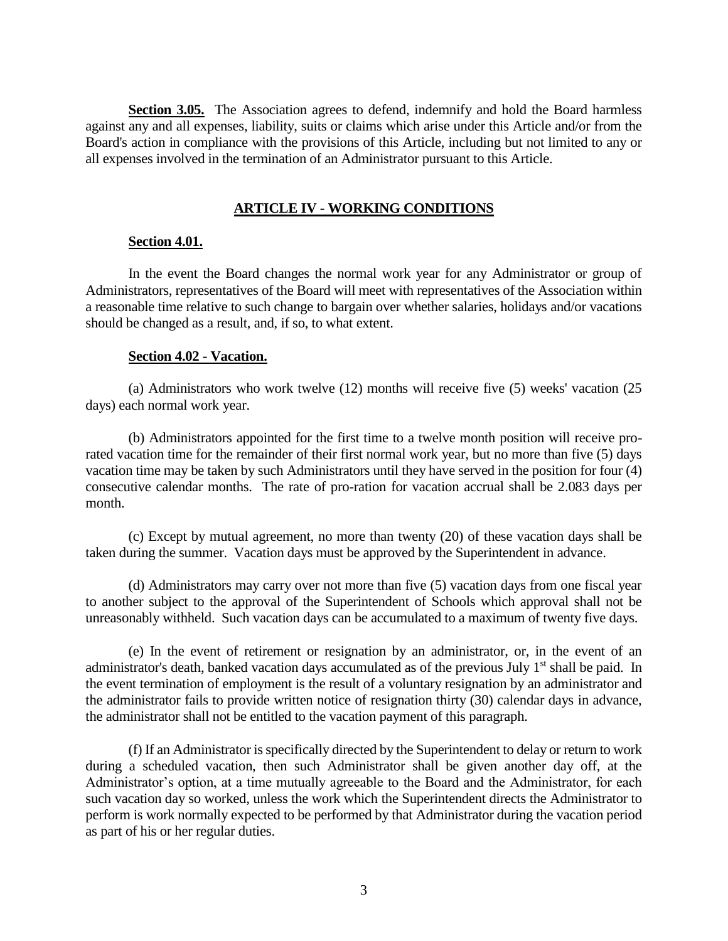**Section 3.05.** The Association agrees to defend, indemnify and hold the Board harmless against any and all expenses, liability, suits or claims which arise under this Article and/or from the Board's action in compliance with the provisions of this Article, including but not limited to any or all expenses involved in the termination of an Administrator pursuant to this Article.

### **ARTICLE IV - WORKING CONDITIONS**

#### **Section 4.01.**

In the event the Board changes the normal work year for any Administrator or group of Administrators, representatives of the Board will meet with representatives of the Association within a reasonable time relative to such change to bargain over whether salaries, holidays and/or vacations should be changed as a result, and, if so, to what extent.

#### **Section 4.02 - Vacation.**

(a) Administrators who work twelve (12) months will receive five (5) weeks' vacation (25 days) each normal work year.

(b) Administrators appointed for the first time to a twelve month position will receive prorated vacation time for the remainder of their first normal work year, but no more than five (5) days vacation time may be taken by such Administrators until they have served in the position for four (4) consecutive calendar months. The rate of pro-ration for vacation accrual shall be 2.083 days per month.

(c) Except by mutual agreement, no more than twenty (20) of these vacation days shall be taken during the summer. Vacation days must be approved by the Superintendent in advance.

(d) Administrators may carry over not more than five (5) vacation days from one fiscal year to another subject to the approval of the Superintendent of Schools which approval shall not be unreasonably withheld. Such vacation days can be accumulated to a maximum of twenty five days.

(e) In the event of retirement or resignation by an administrator, or, in the event of an administrator's death, banked vacation days accumulated as of the previous July 1<sup>st</sup> shall be paid. In the event termination of employment is the result of a voluntary resignation by an administrator and the administrator fails to provide written notice of resignation thirty (30) calendar days in advance, the administrator shall not be entitled to the vacation payment of this paragraph.

(f) If an Administrator is specifically directed by the Superintendent to delay or return to work during a scheduled vacation, then such Administrator shall be given another day off, at the Administrator's option, at a time mutually agreeable to the Board and the Administrator, for each such vacation day so worked, unless the work which the Superintendent directs the Administrator to perform is work normally expected to be performed by that Administrator during the vacation period as part of his or her regular duties.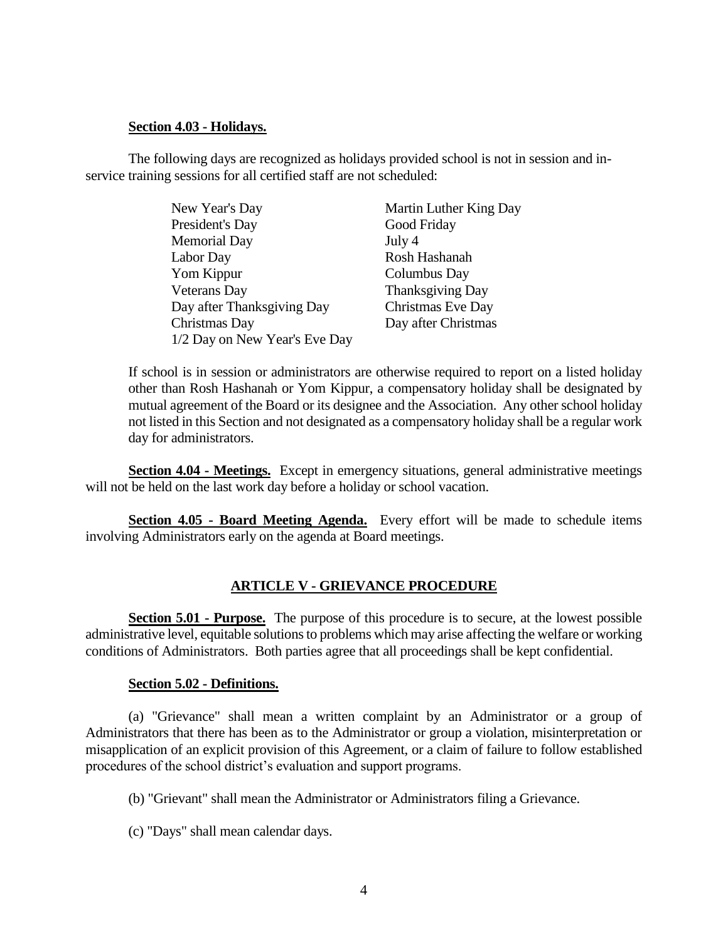#### **Section 4.03 - Holidays.**

The following days are recognized as holidays provided school is not in session and inservice training sessions for all certified staff are not scheduled:

| New Year's Day                | Martin Luther King Day |
|-------------------------------|------------------------|
| President's Day               | Good Friday            |
| <b>Memorial Day</b>           | July 4                 |
| Labor Day                     | Rosh Hashanah          |
| Yom Kippur                    | Columbus Day           |
| <b>Veterans</b> Day           | Thanksgiving Day       |
| Day after Thanksgiving Day    | Christmas Eve Day      |
| Christmas Day                 | Day after Christmas    |
| 1/2 Day on New Year's Eve Day |                        |

If school is in session or administrators are otherwise required to report on a listed holiday other than Rosh Hashanah or Yom Kippur, a compensatory holiday shall be designated by mutual agreement of the Board or its designee and the Association. Any other school holiday not listed in this Section and not designated as a compensatory holiday shall be a regular work day for administrators.

**Section 4.04 - Meetings.** Except in emergency situations, general administrative meetings will not be held on the last work day before a holiday or school vacation.

**Section 4.05 - Board Meeting Agenda.** Every effort will be made to schedule items involving Administrators early on the agenda at Board meetings.

## **ARTICLE V - GRIEVANCE PROCEDURE**

**Section 5.01 - Purpose.** The purpose of this procedure is to secure, at the lowest possible administrative level, equitable solutions to problems which may arise affecting the welfare or working conditions of Administrators. Both parties agree that all proceedings shall be kept confidential.

## **Section 5.02 - Definitions.**

(a) "Grievance" shall mean a written complaint by an Administrator or a group of Administrators that there has been as to the Administrator or group a violation, misinterpretation or misapplication of an explicit provision of this Agreement, or a claim of failure to follow established procedures of the school district's evaluation and support programs.

- (b) "Grievant" shall mean the Administrator or Administrators filing a Grievance.
- (c) "Days" shall mean calendar days.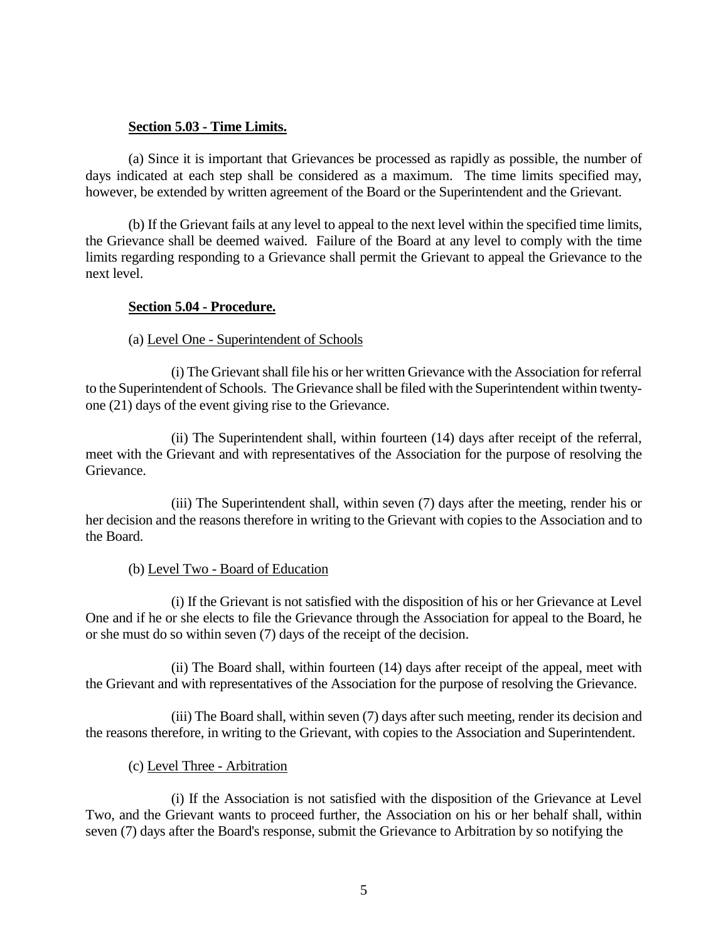#### **Section 5.03 - Time Limits.**

(a) Since it is important that Grievances be processed as rapidly as possible, the number of days indicated at each step shall be considered as a maximum. The time limits specified may, however, be extended by written agreement of the Board or the Superintendent and the Grievant.

(b) If the Grievant fails at any level to appeal to the next level within the specified time limits, the Grievance shall be deemed waived. Failure of the Board at any level to comply with the time limits regarding responding to a Grievance shall permit the Grievant to appeal the Grievance to the next level.

## **Section 5.04 - Procedure.**

## (a) Level One - Superintendent of Schools

(i) The Grievant shall file his or her written Grievance with the Association for referral to the Superintendent of Schools. The Grievance shall be filed with the Superintendent within twentyone (21) days of the event giving rise to the Grievance.

(ii) The Superintendent shall, within fourteen (14) days after receipt of the referral, meet with the Grievant and with representatives of the Association for the purpose of resolving the Grievance.

(iii) The Superintendent shall, within seven (7) days after the meeting, render his or her decision and the reasons therefore in writing to the Grievant with copies to the Association and to the Board.

#### (b) Level Two - Board of Education

(i) If the Grievant is not satisfied with the disposition of his or her Grievance at Level One and if he or she elects to file the Grievance through the Association for appeal to the Board, he or she must do so within seven (7) days of the receipt of the decision.

(ii) The Board shall, within fourteen (14) days after receipt of the appeal, meet with the Grievant and with representatives of the Association for the purpose of resolving the Grievance.

(iii) The Board shall, within seven (7) days after such meeting, render its decision and the reasons therefore, in writing to the Grievant, with copies to the Association and Superintendent.

## (c) Level Three - Arbitration

(i) If the Association is not satisfied with the disposition of the Grievance at Level Two, and the Grievant wants to proceed further, the Association on his or her behalf shall, within seven (7) days after the Board's response, submit the Grievance to Arbitration by so notifying the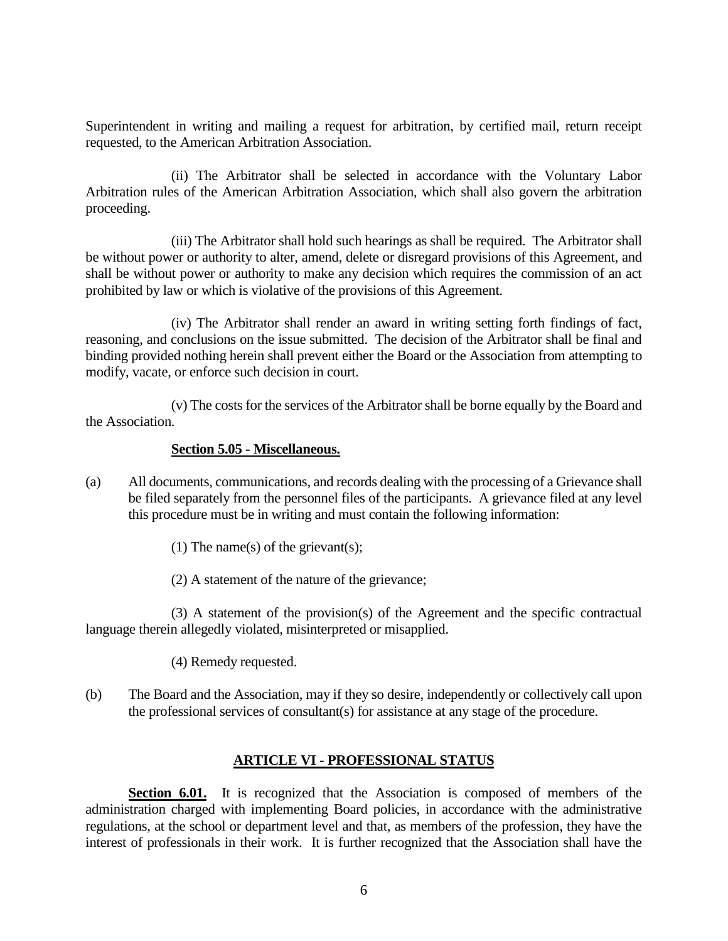Superintendent in writing and mailing a request for arbitration, by certified mail, return receipt requested, to the American Arbitration Association.

(ii) The Arbitrator shall be selected in accordance with the Voluntary Labor Arbitration rules of the American Arbitration Association, which shall also govern the arbitration proceeding.

(iii) The Arbitrator shall hold such hearings as shall be required. The Arbitrator shall be without power or authority to alter, amend, delete or disregard provisions of this Agreement, and shall be without power or authority to make any decision which requires the commission of an act prohibited by law or which is violative of the provisions of this Agreement.

(iv) The Arbitrator shall render an award in writing setting forth findings of fact, reasoning, and conclusions on the issue submitted. The decision of the Arbitrator shall be final and binding provided nothing herein shall prevent either the Board or the Association from attempting to modify, vacate, or enforce such decision in court.

(v) The costs for the services of the Arbitrator shall be borne equally by the Board and the Association.

#### **Section 5.05 - Miscellaneous.**

- (a) All documents, communications, and records dealing with the processing of a Grievance shall be filed separately from the personnel files of the participants. A grievance filed at any level this procedure must be in writing and must contain the following information:
	- (1) The name(s) of the grievant(s);
	- (2) A statement of the nature of the grievance;

(3) A statement of the provision(s) of the Agreement and the specific contractual language therein allegedly violated, misinterpreted or misapplied.

- (4) Remedy requested.
- (b) The Board and the Association, may if they so desire, independently or collectively call upon the professional services of consultant(s) for assistance at any stage of the procedure.

## **ARTICLE VI - PROFESSIONAL STATUS**

**Section 6.01.** It is recognized that the Association is composed of members of the administration charged with implementing Board policies, in accordance with the administrative regulations, at the school or department level and that, as members of the profession, they have the interest of professionals in their work. It is further recognized that the Association shall have the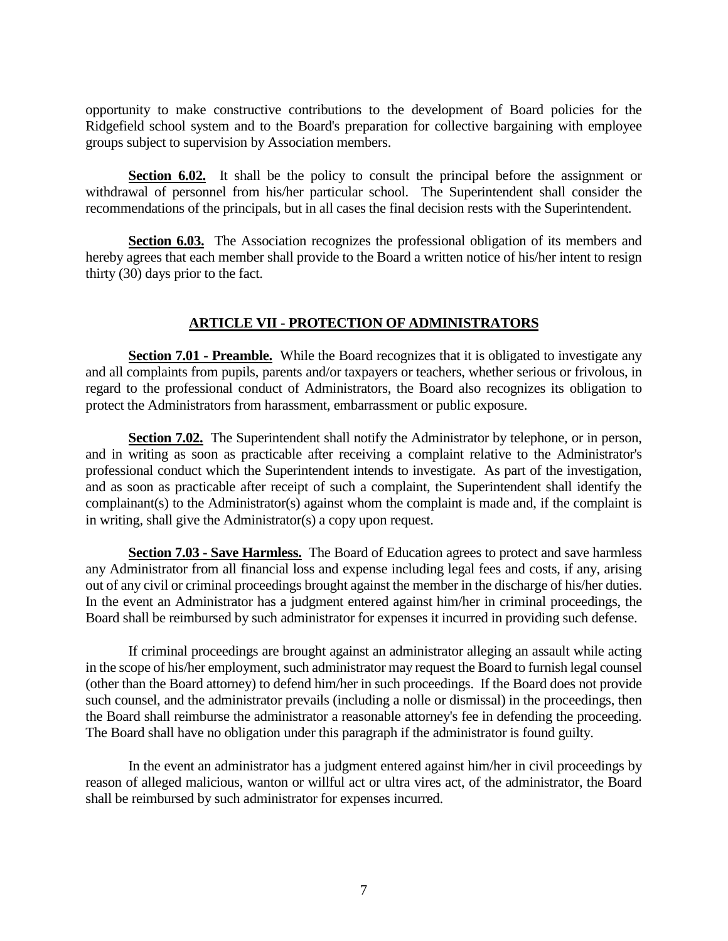opportunity to make constructive contributions to the development of Board policies for the Ridgefield school system and to the Board's preparation for collective bargaining with employee groups subject to supervision by Association members.

**Section 6.02.** It shall be the policy to consult the principal before the assignment or withdrawal of personnel from his/her particular school. The Superintendent shall consider the recommendations of the principals, but in all cases the final decision rests with the Superintendent.

**Section 6.03.** The Association recognizes the professional obligation of its members and hereby agrees that each member shall provide to the Board a written notice of his/her intent to resign thirty (30) days prior to the fact.

## **ARTICLE VII - PROTECTION OF ADMINISTRATORS**

**Section 7.01 - Preamble.** While the Board recognizes that it is obligated to investigate any and all complaints from pupils, parents and/or taxpayers or teachers, whether serious or frivolous, in regard to the professional conduct of Administrators, the Board also recognizes its obligation to protect the Administrators from harassment, embarrassment or public exposure.

**Section 7.02.** The Superintendent shall notify the Administrator by telephone, or in person, and in writing as soon as practicable after receiving a complaint relative to the Administrator's professional conduct which the Superintendent intends to investigate. As part of the investigation, and as soon as practicable after receipt of such a complaint, the Superintendent shall identify the complainant(s) to the Administrator(s) against whom the complaint is made and, if the complaint is in writing, shall give the Administrator(s) a copy upon request.

**Section 7.03 - Save Harmless.** The Board of Education agrees to protect and save harmless any Administrator from all financial loss and expense including legal fees and costs, if any, arising out of any civil or criminal proceedings brought against the member in the discharge of his/her duties. In the event an Administrator has a judgment entered against him/her in criminal proceedings, the Board shall be reimbursed by such administrator for expenses it incurred in providing such defense.

If criminal proceedings are brought against an administrator alleging an assault while acting in the scope of his/her employment, such administrator may request the Board to furnish legal counsel (other than the Board attorney) to defend him/her in such proceedings. If the Board does not provide such counsel, and the administrator prevails (including a nolle or dismissal) in the proceedings, then the Board shall reimburse the administrator a reasonable attorney's fee in defending the proceeding. The Board shall have no obligation under this paragraph if the administrator is found guilty.

In the event an administrator has a judgment entered against him/her in civil proceedings by reason of alleged malicious, wanton or willful act or ultra vires act, of the administrator, the Board shall be reimbursed by such administrator for expenses incurred.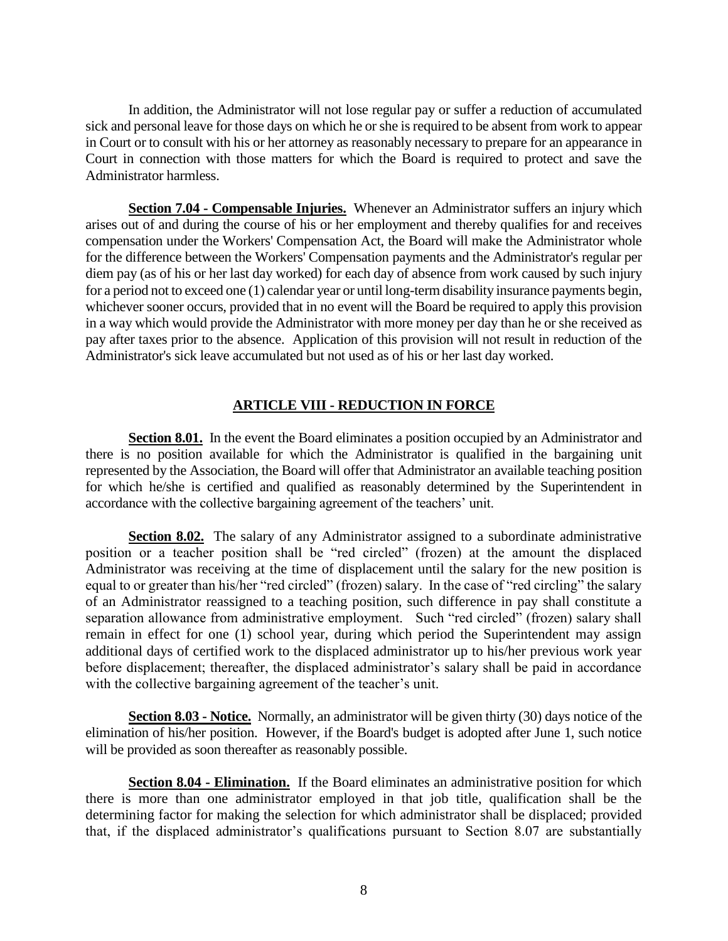In addition, the Administrator will not lose regular pay or suffer a reduction of accumulated sick and personal leave for those days on which he or she is required to be absent from work to appear in Court or to consult with his or her attorney as reasonably necessary to prepare for an appearance in Court in connection with those matters for which the Board is required to protect and save the Administrator harmless.

**Section 7.04 - Compensable Injuries.** Whenever an Administrator suffers an injury which arises out of and during the course of his or her employment and thereby qualifies for and receives compensation under the Workers' Compensation Act, the Board will make the Administrator whole for the difference between the Workers' Compensation payments and the Administrator's regular per diem pay (as of his or her last day worked) for each day of absence from work caused by such injury for a period not to exceed one (1) calendar year or until long-term disability insurance payments begin, whichever sooner occurs, provided that in no event will the Board be required to apply this provision in a way which would provide the Administrator with more money per day than he or she received as pay after taxes prior to the absence. Application of this provision will not result in reduction of the Administrator's sick leave accumulated but not used as of his or her last day worked.

# **ARTICLE VIII - REDUCTION IN FORCE**

**Section 8.01.** In the event the Board eliminates a position occupied by an Administrator and there is no position available for which the Administrator is qualified in the bargaining unit represented by the Association, the Board will offer that Administrator an available teaching position for which he/she is certified and qualified as reasonably determined by the Superintendent in accordance with the collective bargaining agreement of the teachers' unit.

**Section 8.02.** The salary of any Administrator assigned to a subordinate administrative position or a teacher position shall be "red circled" (frozen) at the amount the displaced Administrator was receiving at the time of displacement until the salary for the new position is equal to or greater than his/her "red circled" (frozen) salary. In the case of "red circling" the salary of an Administrator reassigned to a teaching position, such difference in pay shall constitute a separation allowance from administrative employment. Such "red circled" (frozen) salary shall remain in effect for one (1) school year, during which period the Superintendent may assign additional days of certified work to the displaced administrator up to his/her previous work year before displacement; thereafter, the displaced administrator's salary shall be paid in accordance with the collective bargaining agreement of the teacher's unit.

**Section 8.03 - Notice.** Normally, an administrator will be given thirty (30) days notice of the elimination of his/her position. However, if the Board's budget is adopted after June 1, such notice will be provided as soon thereafter as reasonably possible.

**Section 8.04 - Elimination.** If the Board eliminates an administrative position for which there is more than one administrator employed in that job title, qualification shall be the determining factor for making the selection for which administrator shall be displaced; provided that, if the displaced administrator's qualifications pursuant to Section 8.07 are substantially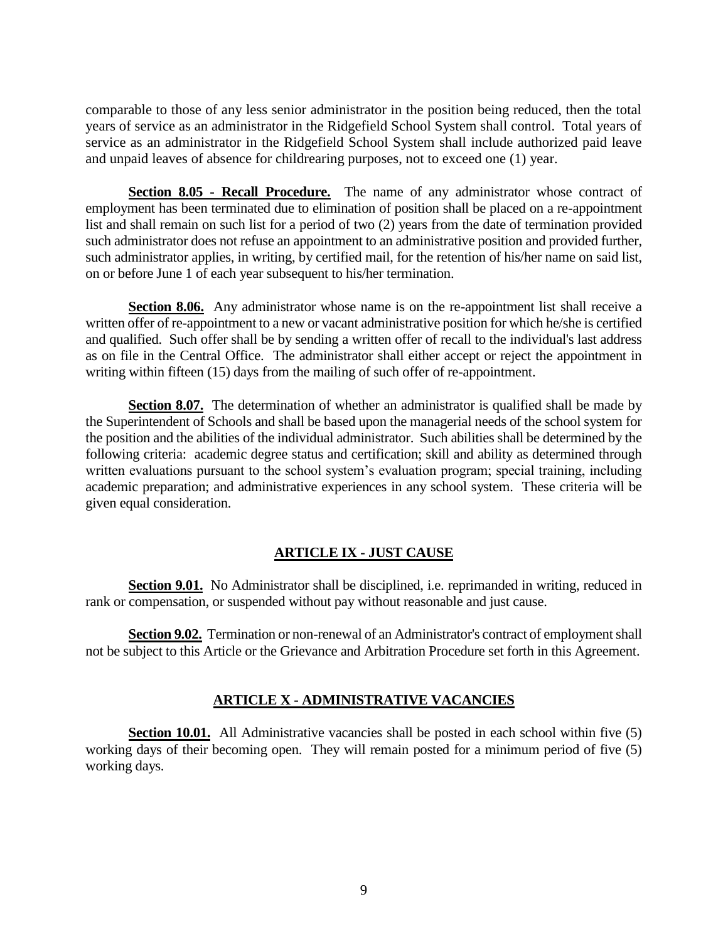comparable to those of any less senior administrator in the position being reduced, then the total years of service as an administrator in the Ridgefield School System shall control. Total years of service as an administrator in the Ridgefield School System shall include authorized paid leave and unpaid leaves of absence for childrearing purposes, not to exceed one (1) year.

**Section 8.05 - Recall Procedure.** The name of any administrator whose contract of employment has been terminated due to elimination of position shall be placed on a re-appointment list and shall remain on such list for a period of two (2) years from the date of termination provided such administrator does not refuse an appointment to an administrative position and provided further, such administrator applies, in writing, by certified mail, for the retention of his/her name on said list, on or before June 1 of each year subsequent to his/her termination.

**Section 8.06.** Any administrator whose name is on the re-appointment list shall receive a written offer of re-appointment to a new or vacant administrative position for which he/she is certified and qualified. Such offer shall be by sending a written offer of recall to the individual's last address as on file in the Central Office. The administrator shall either accept or reject the appointment in writing within fifteen (15) days from the mailing of such offer of re-appointment.

**Section 8.07.** The determination of whether an administrator is qualified shall be made by the Superintendent of Schools and shall be based upon the managerial needs of the school system for the position and the abilities of the individual administrator. Such abilities shall be determined by the following criteria: academic degree status and certification; skill and ability as determined through written evaluations pursuant to the school system's evaluation program; special training, including academic preparation; and administrative experiences in any school system. These criteria will be given equal consideration.

## **ARTICLE IX - JUST CAUSE**

**Section 9.01.** No Administrator shall be disciplined, i.e. reprimanded in writing, reduced in rank or compensation, or suspended without pay without reasonable and just cause.

**Section 9.02.** Termination or non-renewal of an Administrator's contract of employment shall not be subject to this Article or the Grievance and Arbitration Procedure set forth in this Agreement.

## **ARTICLE X - ADMINISTRATIVE VACANCIES**

**Section 10.01.** All Administrative vacancies shall be posted in each school within five (5) working days of their becoming open. They will remain posted for a minimum period of five (5) working days.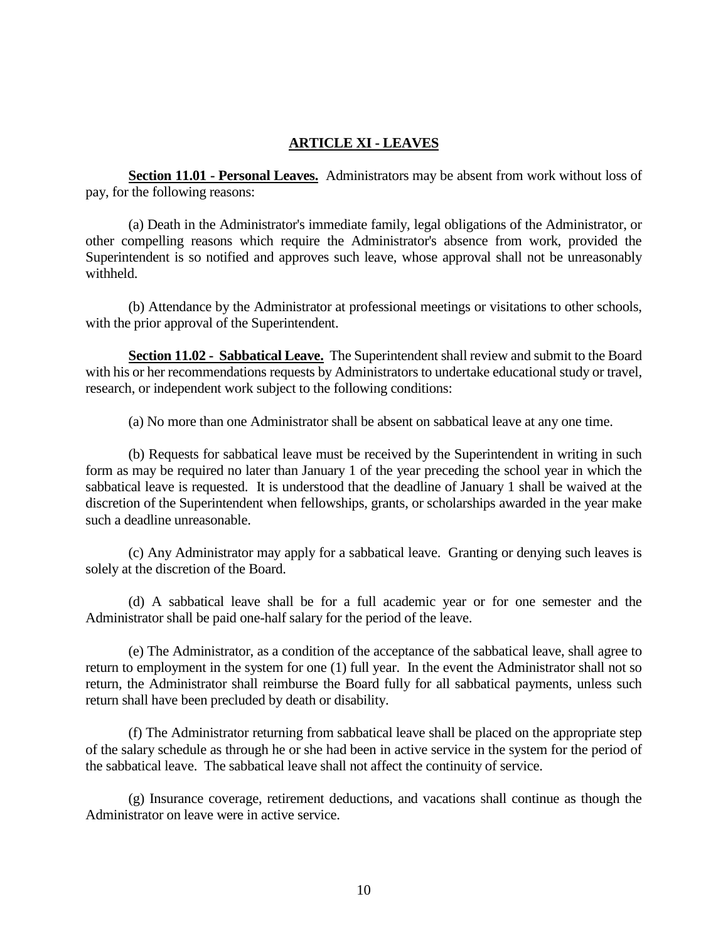### **ARTICLE XI - LEAVES**

**Section 11.01 - Personal Leaves.** Administrators may be absent from work without loss of pay, for the following reasons:

(a) Death in the Administrator's immediate family, legal obligations of the Administrator, or other compelling reasons which require the Administrator's absence from work, provided the Superintendent is so notified and approves such leave, whose approval shall not be unreasonably withheld.

(b) Attendance by the Administrator at professional meetings or visitations to other schools, with the prior approval of the Superintendent.

**Section 11.02 - Sabbatical Leave.** The Superintendent shall review and submit to the Board with his or her recommendations requests by Administrators to undertake educational study or travel, research, or independent work subject to the following conditions:

(a) No more than one Administrator shall be absent on sabbatical leave at any one time.

(b) Requests for sabbatical leave must be received by the Superintendent in writing in such form as may be required no later than January 1 of the year preceding the school year in which the sabbatical leave is requested. It is understood that the deadline of January 1 shall be waived at the discretion of the Superintendent when fellowships, grants, or scholarships awarded in the year make such a deadline unreasonable.

(c) Any Administrator may apply for a sabbatical leave. Granting or denying such leaves is solely at the discretion of the Board.

(d) A sabbatical leave shall be for a full academic year or for one semester and the Administrator shall be paid one-half salary for the period of the leave.

(e) The Administrator, as a condition of the acceptance of the sabbatical leave, shall agree to return to employment in the system for one (1) full year. In the event the Administrator shall not so return, the Administrator shall reimburse the Board fully for all sabbatical payments, unless such return shall have been precluded by death or disability.

(f) The Administrator returning from sabbatical leave shall be placed on the appropriate step of the salary schedule as through he or she had been in active service in the system for the period of the sabbatical leave. The sabbatical leave shall not affect the continuity of service.

(g) Insurance coverage, retirement deductions, and vacations shall continue as though the Administrator on leave were in active service.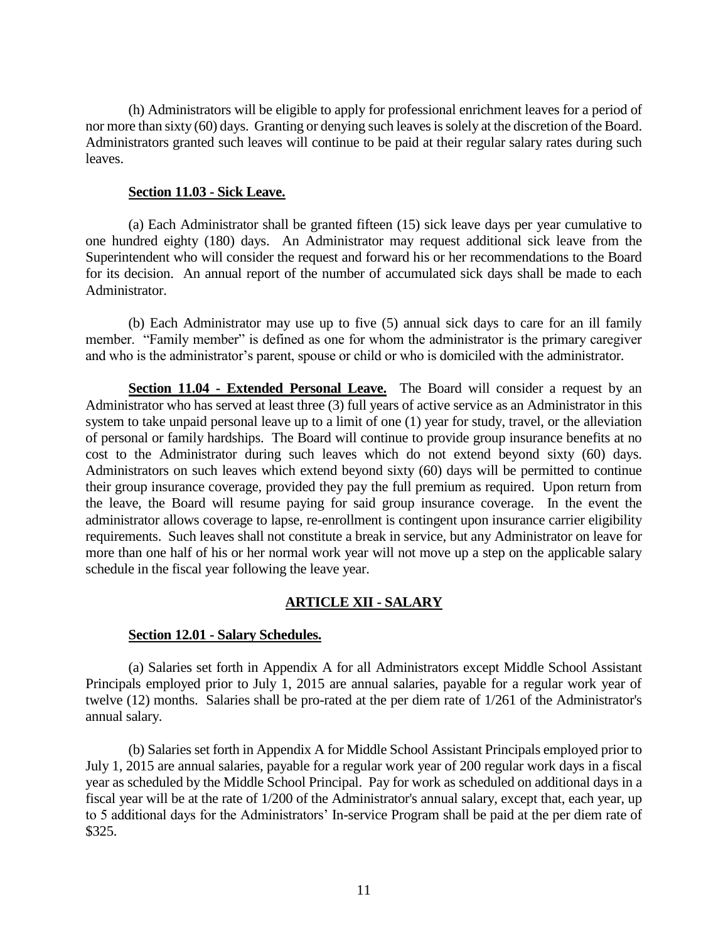(h) Administrators will be eligible to apply for professional enrichment leaves for a period of nor more than sixty (60) days. Granting or denying such leaves is solely at the discretion of the Board. Administrators granted such leaves will continue to be paid at their regular salary rates during such leaves.

#### **Section 11.03 - Sick Leave.**

(a) Each Administrator shall be granted fifteen (15) sick leave days per year cumulative to one hundred eighty (180) days. An Administrator may request additional sick leave from the Superintendent who will consider the request and forward his or her recommendations to the Board for its decision. An annual report of the number of accumulated sick days shall be made to each Administrator.

(b) Each Administrator may use up to five (5) annual sick days to care for an ill family member. "Family member" is defined as one for whom the administrator is the primary caregiver and who is the administrator's parent, spouse or child or who is domiciled with the administrator.

**Section 11.04 - Extended Personal Leave.** The Board will consider a request by an Administrator who has served at least three (3) full years of active service as an Administrator in this system to take unpaid personal leave up to a limit of one (1) year for study, travel, or the alleviation of personal or family hardships. The Board will continue to provide group insurance benefits at no cost to the Administrator during such leaves which do not extend beyond sixty (60) days. Administrators on such leaves which extend beyond sixty (60) days will be permitted to continue their group insurance coverage, provided they pay the full premium as required. Upon return from the leave, the Board will resume paying for said group insurance coverage. In the event the administrator allows coverage to lapse, re-enrollment is contingent upon insurance carrier eligibility requirements. Such leaves shall not constitute a break in service, but any Administrator on leave for more than one half of his or her normal work year will not move up a step on the applicable salary schedule in the fiscal year following the leave year.

# **ARTICLE XII - SALARY**

## **Section 12.01 - Salary Schedules.**

(a) Salaries set forth in Appendix A for all Administrators except Middle School Assistant Principals employed prior to July 1, 2015 are annual salaries, payable for a regular work year of twelve (12) months. Salaries shall be pro-rated at the per diem rate of 1/261 of the Administrator's annual salary.

(b) Salaries set forth in Appendix A for Middle School Assistant Principals employed prior to July 1, 2015 are annual salaries, payable for a regular work year of 200 regular work days in a fiscal year as scheduled by the Middle School Principal. Pay for work as scheduled on additional days in a fiscal year will be at the rate of 1/200 of the Administrator's annual salary, except that, each year, up to 5 additional days for the Administrators' In-service Program shall be paid at the per diem rate of \$325.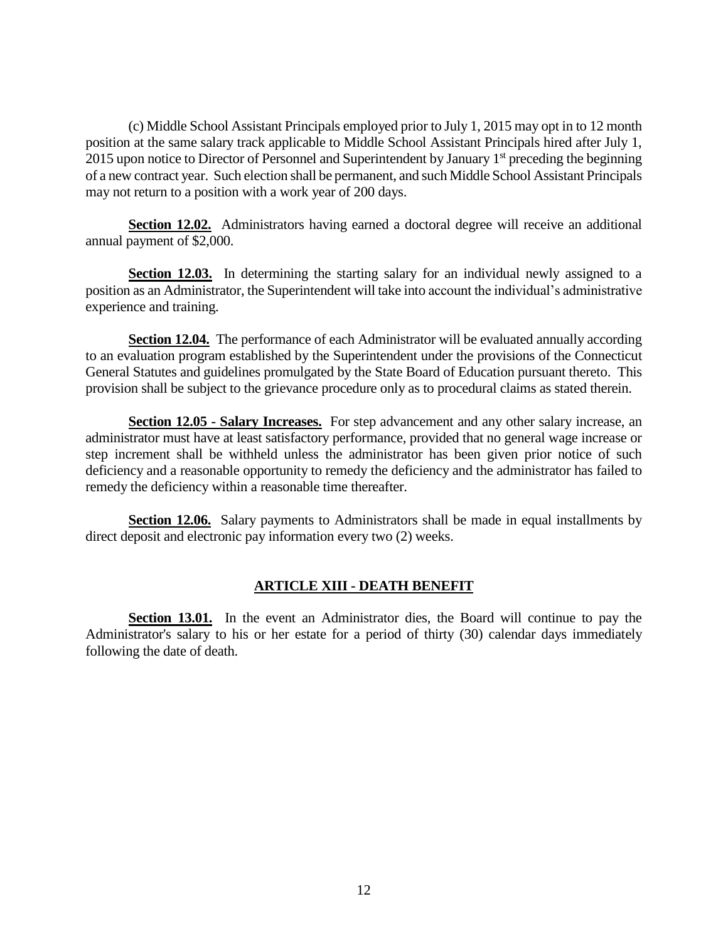(c) Middle School Assistant Principals employed prior to July 1, 2015 may opt in to 12 month position at the same salary track applicable to Middle School Assistant Principals hired after July 1, 2015 upon notice to Director of Personnel and Superintendent by January 1<sup>st</sup> preceding the beginning of a new contract year. Such election shall be permanent, and such Middle School Assistant Principals may not return to a position with a work year of 200 days.

**Section 12.02.** Administrators having earned a doctoral degree will receive an additional annual payment of \$2,000.

**Section 12.03.** In determining the starting salary for an individual newly assigned to a position as an Administrator, the Superintendent will take into account the individual's administrative experience and training.

**Section 12.04.** The performance of each Administrator will be evaluated annually according to an evaluation program established by the Superintendent under the provisions of the Connecticut General Statutes and guidelines promulgated by the State Board of Education pursuant thereto. This provision shall be subject to the grievance procedure only as to procedural claims as stated therein.

**Section 12.05 - Salary Increases.** For step advancement and any other salary increase, an administrator must have at least satisfactory performance, provided that no general wage increase or step increment shall be withheld unless the administrator has been given prior notice of such deficiency and a reasonable opportunity to remedy the deficiency and the administrator has failed to remedy the deficiency within a reasonable time thereafter.

**Section 12.06.** Salary payments to Administrators shall be made in equal installments by direct deposit and electronic pay information every two (2) weeks.

## **ARTICLE XIII - DEATH BENEFIT**

**Section 13.01.** In the event an Administrator dies, the Board will continue to pay the Administrator's salary to his or her estate for a period of thirty (30) calendar days immediately following the date of death.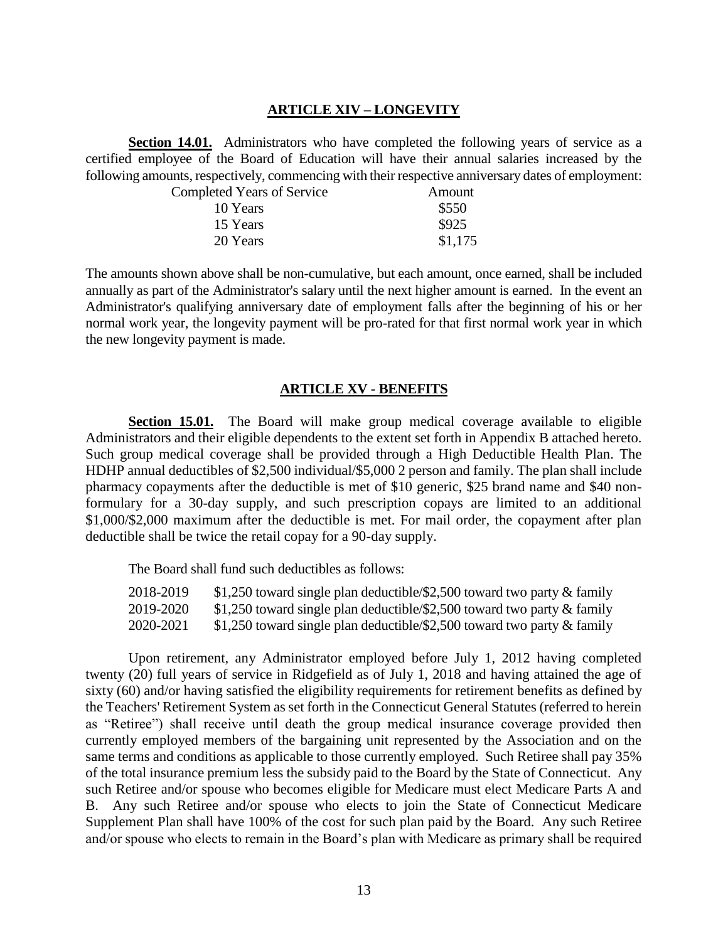#### **ARTICLE XIV – LONGEVITY**

**Section 14.01.** Administrators who have completed the following years of service as a certified employee of the Board of Education will have their annual salaries increased by the following amounts, respectively, commencing with their respective anniversary dates of employment:

| <b>Completed Years of Service</b> | Amount  |
|-----------------------------------|---------|
| 10 Years                          | \$550   |
| 15 Years                          | \$925   |
| 20 Years                          | \$1,175 |

The amounts shown above shall be non-cumulative, but each amount, once earned, shall be included annually as part of the Administrator's salary until the next higher amount is earned. In the event an Administrator's qualifying anniversary date of employment falls after the beginning of his or her normal work year, the longevity payment will be pro-rated for that first normal work year in which the new longevity payment is made.

#### **ARTICLE XV - BENEFITS**

**Section 15.01.** The Board will make group medical coverage available to eligible Administrators and their eligible dependents to the extent set forth in Appendix B attached hereto. Such group medical coverage shall be provided through a High Deductible Health Plan. The HDHP annual deductibles of \$2,500 individual/\$5,000 2 person and family. The plan shall include pharmacy copayments after the deductible is met of \$10 generic, \$25 brand name and \$40 nonformulary for a 30-day supply, and such prescription copays are limited to an additional \$1,000/\$2,000 maximum after the deductible is met. For mail order, the copayment after plan deductible shall be twice the retail copay for a 90-day supply.

The Board shall fund such deductibles as follows:

| 2018-2019 | \$1,250 toward single plan deductible/\$2,500 toward two party $\&$ family |
|-----------|----------------------------------------------------------------------------|
| 2019-2020 | \$1,250 toward single plan deductible/\$2,500 toward two party $\&$ family |
| 2020-2021 | \$1,250 toward single plan deductible/\$2,500 toward two party $\&$ family |

Upon retirement, any Administrator employed before July 1, 2012 having completed twenty (20) full years of service in Ridgefield as of July 1, 2018 and having attained the age of sixty (60) and/or having satisfied the eligibility requirements for retirement benefits as defined by the Teachers' Retirement System as set forth in the Connecticut General Statutes (referred to herein as "Retiree") shall receive until death the group medical insurance coverage provided then currently employed members of the bargaining unit represented by the Association and on the same terms and conditions as applicable to those currently employed. Such Retiree shall pay 35% of the total insurance premium less the subsidy paid to the Board by the State of Connecticut. Any such Retiree and/or spouse who becomes eligible for Medicare must elect Medicare Parts A and B. Any such Retiree and/or spouse who elects to join the State of Connecticut Medicare Supplement Plan shall have 100% of the cost for such plan paid by the Board. Any such Retiree and/or spouse who elects to remain in the Board's plan with Medicare as primary shall be required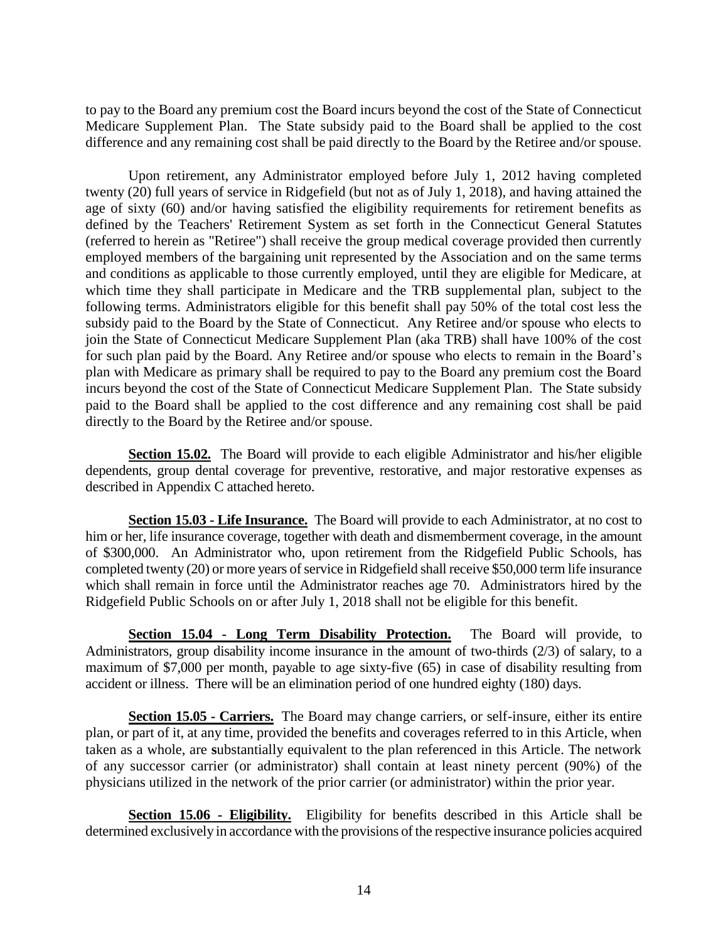to pay to the Board any premium cost the Board incurs beyond the cost of the State of Connecticut Medicare Supplement Plan. The State subsidy paid to the Board shall be applied to the cost difference and any remaining cost shall be paid directly to the Board by the Retiree and/or spouse.

Upon retirement, any Administrator employed before July 1, 2012 having completed twenty (20) full years of service in Ridgefield (but not as of July 1, 2018), and having attained the age of sixty (60) and/or having satisfied the eligibility requirements for retirement benefits as defined by the Teachers' Retirement System as set forth in the Connecticut General Statutes (referred to herein as "Retiree") shall receive the group medical coverage provided then currently employed members of the bargaining unit represented by the Association and on the same terms and conditions as applicable to those currently employed, until they are eligible for Medicare, at which time they shall participate in Medicare and the TRB supplemental plan, subject to the following terms. Administrators eligible for this benefit shall pay 50% of the total cost less the subsidy paid to the Board by the State of Connecticut. Any Retiree and/or spouse who elects to join the State of Connecticut Medicare Supplement Plan (aka TRB) shall have 100% of the cost for such plan paid by the Board. Any Retiree and/or spouse who elects to remain in the Board's plan with Medicare as primary shall be required to pay to the Board any premium cost the Board incurs beyond the cost of the State of Connecticut Medicare Supplement Plan. The State subsidy paid to the Board shall be applied to the cost difference and any remaining cost shall be paid directly to the Board by the Retiree and/or spouse.

**Section 15.02.** The Board will provide to each eligible Administrator and his/her eligible dependents, group dental coverage for preventive, restorative, and major restorative expenses as described in Appendix C attached hereto.

**Section 15.03 - Life Insurance.** The Board will provide to each Administrator, at no cost to him or her, life insurance coverage, together with death and dismemberment coverage, in the amount of \$300,000.An Administrator who, upon retirement from the Ridgefield Public Schools, has completed twenty (20) or more years of service in Ridgefield shall receive \$50,000 term life insurance which shall remain in force until the Administrator reaches age 70. Administrators hired by the Ridgefield Public Schools on or after July 1, 2018 shall not be eligible for this benefit.

**Section 15.04 - Long Term Disability Protection.** The Board will provide, to Administrators, group disability income insurance in the amount of two-thirds (2/3) of salary, to a maximum of \$7,000 per month, payable to age sixty-five (65) in case of disability resulting from accident or illness. There will be an elimination period of one hundred eighty (180) days.

**Section 15.05 - Carriers.** The Board may change carriers, or self-insure, either its entire plan, or part of it, at any time, provided the benefits and coverages referred to in this Article, when taken as a whole, are **s**ubstantially equivalent to the plan referenced in this Article. The network of any successor carrier (or administrator) shall contain at least ninety percent (90%) of the physicians utilized in the network of the prior carrier (or administrator) within the prior year.

**Section 15.06 - Eligibility.** Eligibility for benefits described in this Article shall be determined exclusively in accordance with the provisions of the respective insurance policies acquired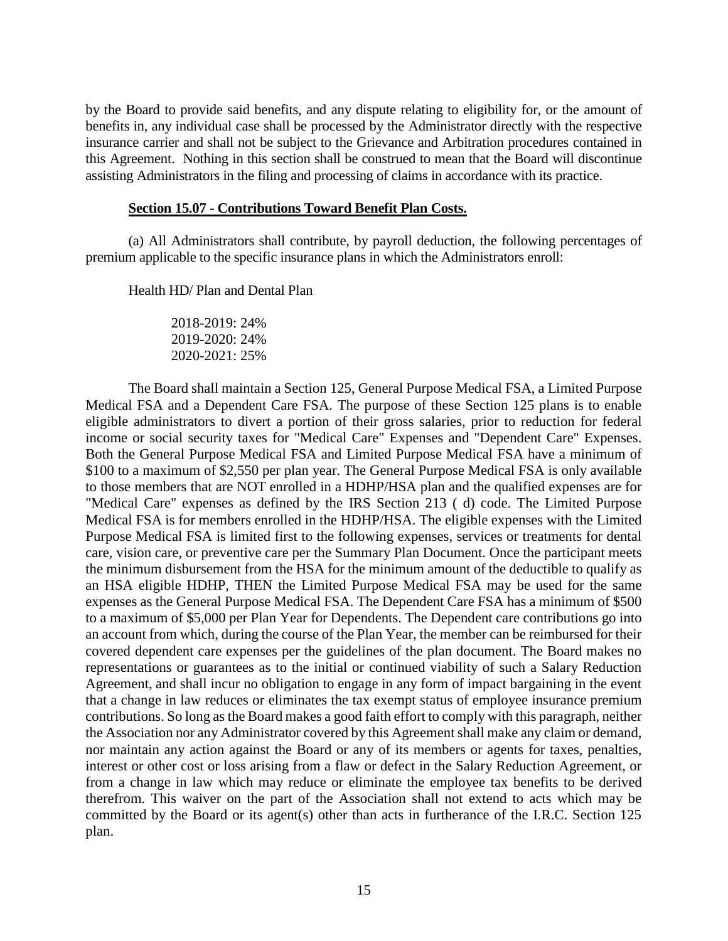by the Board to provide said benefits, and any dispute relating to eligibility for, or the amount of benefits in, any individual case shall be processed by the Administrator directly with the respective insurance carrier and shall not be subject to the Grievance and Arbitration procedures contained in this Agreement. Nothing in this section shall be construed to mean that the Board will discontinue assisting Administrators in the filing and processing of claims in accordance with its practice.

#### **Section 15.07 - Contributions Toward Benefit Plan Costs.**

(a) All Administrators shall contribute, by payroll deduction, the following percentages of premium applicable to the specific insurance plans in which the Administrators enroll:

Health HD/ Plan and Dental Plan

2018-2019: 24% 2019-2020: 24% 2020-2021: 25%

The Board shall maintain a Section 125, General Purpose Medical FSA, a Limited Purpose Medical FSA and a Dependent Care FSA. The purpose of these Section 125 plans is to enable eligible administrators to divert a portion of their gross salaries, prior to reduction for federal income or social security taxes for "Medical Care" Expenses and "Dependent Care" Expenses. Both the General Purpose Medical FSA and Limited Purpose Medical FSA have a minimum of \$100 to a maximum of \$2,550 per plan year. The General Purpose Medical FSA is only available to those members that are NOT enrolled in a HDHP/HSA plan and the qualified expenses are for "Medical Care" expenses as defined by the IRS Section 213 ( d) code. The Limited Purpose Medical FSA is for members enrolled in the HDHP/HSA. The eligible expenses with the Limited Purpose Medical FSA is limited first to the following expenses, services or treatments for dental care, vision care, or preventive care per the Summary Plan Document. Once the participant meets the minimum disbursement from the HSA for the minimum amount of the deductible to qualify as an HSA eligible HDHP, THEN the Limited Purpose Medical FSA may be used for the same expenses as the General Purpose Medical FSA. The Dependent Care FSA has a minimum of \$500 to a maximum of \$5,000 per Plan Year for Dependents. The Dependent care contributions go into an account from which, during the course of the Plan Year, the member can be reimbursed for their covered dependent care expenses per the guidelines of the plan document. The Board makes no representations or guarantees as to the initial or continued viability of such a Salary Reduction Agreement, and shall incur no obligation to engage in any form of impact bargaining in the event that a change in law reduces or eliminates the tax exempt status of employee insurance premium contributions. So long as the Board makes a good faith effort to comply with this paragraph, neither the Association nor any Administrator covered by this Agreement shall make any claim or demand, nor maintain any action against the Board or any of its members or agents for taxes, penalties, interest or other cost or loss arising from a flaw or defect in the Salary Reduction Agreement, or from a change in law which may reduce or eliminate the employee tax benefits to be derived therefrom. This waiver on the part of the Association shall not extend to acts which may be committed by the Board or its agent(s) other than acts in furtherance of the I.R.C. Section 125 plan.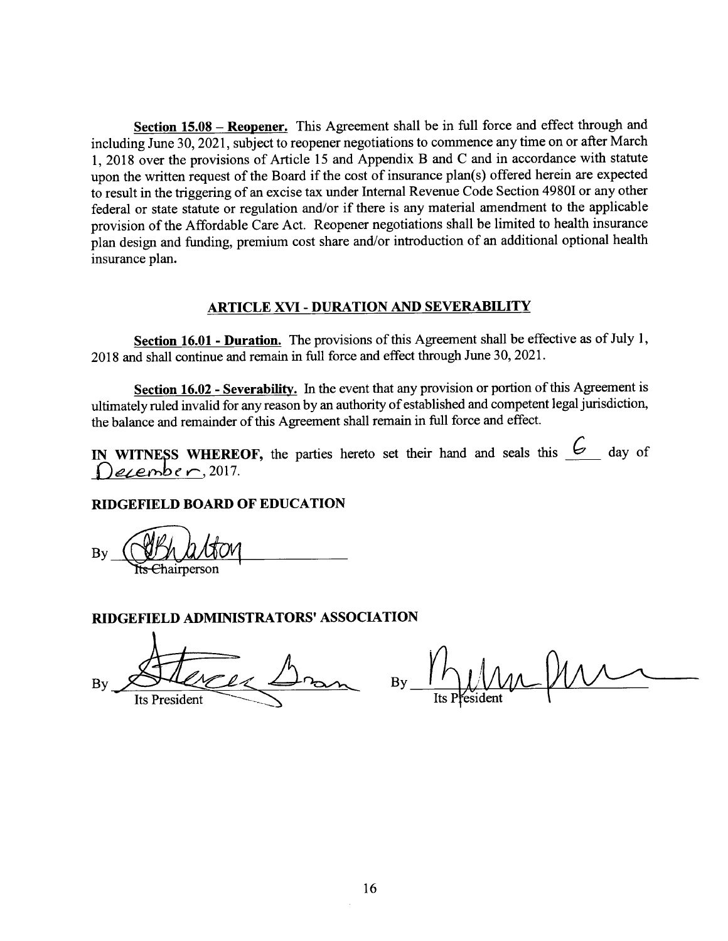Section 15.08 – Reopener. This Agreement shall be in full force and effect through and including June 30, 2021, subject to reopener negotiations to commence any time on or after March 1, 2018 over the provisions of Article 15 and Appendix B and C and in accordance with statute upon the written request of the Board if the cost of insurance plan(s) offered herein are expected to result in the triggering of an excise tax under Internal Revenue Code Section 4980I or any other federal or state statute or regulation and/or if there is any material amendment to the applicable provision of the Affordable Care Act. Reopener negotiations shall be limited to health insurance plan design and funding, premium cost share and/or introduction of an additional optional health insurance plan.

## **ARTICLE XVI - DURATION AND SEVERABILITY**

Section 16.01 - Duration. The provisions of this Agreement shall be effective as of July 1, 2018 and shall continue and remain in full force and effect through June 30, 2021.

Section 16.02 - Severability. In the event that any provision or portion of this Agreement is ultimately ruled invalid for any reason by an authority of established and competent legal jurisdiction, the balance and remainder of this Agreement shall remain in full force and effect.

IN WITNESS WHEREOF, the parties hereto set their hand and seals this  $6$  day of  $Desembler$ , 2017.

## **RIDGEFIELD BOARD OF EDUCATION**

Ehairnerson

#### RIDGEFIELD ADMINISTRATORS' ASSOCIATION

 $B<sub>1</sub>$ **Its President** 

 $\overline{By}$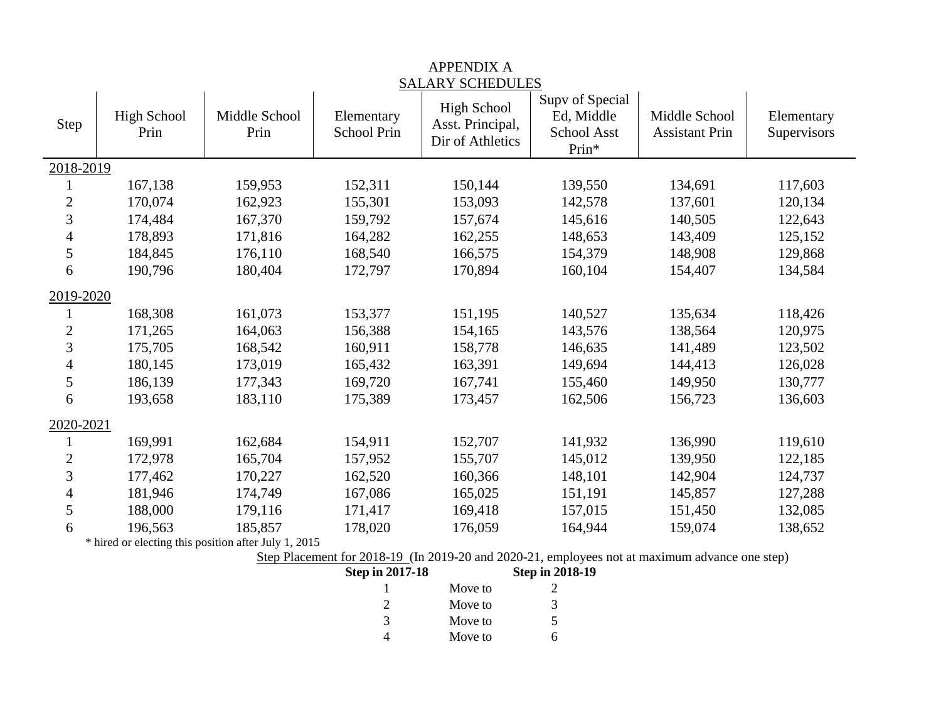| Step                    | <b>High School</b><br>Prin | Middle School<br>Prin | Elementary<br>School Prin | <b>High School</b><br>Asst. Principal,<br>Dir of Athletics | Supv of Special<br>Ed, Middle<br>School Asst<br>Prin* | Middle School<br><b>Assistant Prin</b> | Elementary<br>Supervisors |
|-------------------------|----------------------------|-----------------------|---------------------------|------------------------------------------------------------|-------------------------------------------------------|----------------------------------------|---------------------------|
| 2018-2019               |                            |                       |                           |                                                            |                                                       |                                        |                           |
|                         | 167,138                    | 159,953               | 152,311                   | 150,144                                                    | 139,550                                               | 134,691                                | 117,603                   |
| $\overline{c}$          | 170,074                    | 162,923               | 155,301                   | 153,093                                                    | 142,578                                               | 137,601                                | 120,134                   |
| 3                       | 174,484                    | 167,370               | 159,792                   | 157,674                                                    | 145,616                                               | 140,505                                | 122,643                   |
| 4                       | 178,893                    | 171,816               | 164,282                   | 162,255                                                    | 148,653                                               | 143,409                                | 125,152                   |
| 5                       | 184,845                    | 176,110               | 168,540                   | 166,575                                                    | 154,379                                               | 148,908                                | 129,868                   |
| 6                       | 190,796                    | 180,404               | 172,797                   | 170,894                                                    | 160,104                                               | 154,407                                | 134,584                   |
| 2019-2020               |                            |                       |                           |                                                            |                                                       |                                        |                           |
|                         | 168,308                    | 161,073               | 153,377                   | 151,195                                                    | 140,527                                               | 135,634                                | 118,426                   |
| $\mathbf{2}$            | 171,265                    | 164,063               | 156,388                   | 154,165                                                    | 143,576                                               | 138,564                                | 120,975                   |
| 3                       | 175,705                    | 168,542               | 160,911                   | 158,778                                                    | 146,635                                               | 141,489                                | 123,502                   |
| 4                       | 180,145                    | 173,019               | 165,432                   | 163,391                                                    | 149,694                                               | 144,413                                | 126,028                   |
| 5                       | 186,139                    | 177,343               | 169,720                   | 167,741                                                    | 155,460                                               | 149,950                                | 130,777                   |
| 6                       | 193,658                    | 183,110               | 175,389                   | 173,457                                                    | 162,506                                               | 156,723                                | 136,603                   |
| 2020-2021               |                            |                       |                           |                                                            |                                                       |                                        |                           |
| 1                       | 169,991                    | 162,684               | 154,911                   | 152,707                                                    | 141,932                                               | 136,990                                | 119,610                   |
| $\overline{\mathbf{c}}$ | 172,978                    | 165,704               | 157,952                   | 155,707                                                    | 145,012                                               | 139,950                                | 122,185                   |
| 3                       | 177,462                    | 170,227               | 162,520                   | 160,366                                                    | 148,101                                               | 142,904                                | 124,737                   |
| $\overline{4}$          | 181,946                    | 174,749               | 167,086                   | 165,025                                                    | 151,191                                               | 145,857                                | 127,288                   |
| 5                       | 188,000                    | 179,116               | 171,417                   | 169,418                                                    | 157,015                                               | 151,450                                | 132,085                   |
| 6                       | 196,563                    | 185,857               | 178,020                   | 176,059                                                    | 164,944                                               | 159,074                                | 138,652                   |

# APPENDIX A SALARY SCHEDULES

\* hired or electing this position after July 1, 2015

Step Placement for 2018-19 (In 2019-20 and 2020-21, employees not at maximum advance one step)<br>Step in 2017-18 Step in 2018-19

| Step in 2017-18 |         | <b>Step in 2018-19</b> |
|-----------------|---------|------------------------|
|                 | Move to |                        |
|                 | Move to | 3                      |
| 3               | Move to | 5                      |
|                 | Move to |                        |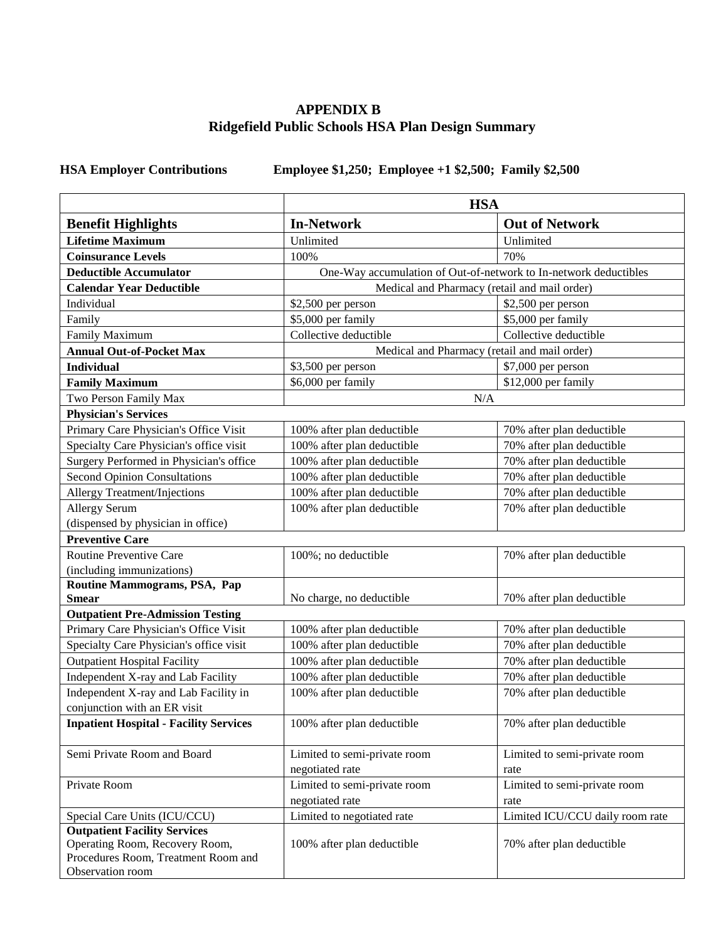# **APPENDIX B Ridgefield Public Schools HSA Plan Design Summary**

**HSA Employer Contributions Employee \$1,250; Employee +1 \$2,500; Family \$2,500** 

|                                               | <b>HSA</b>                                                       |                                 |  |
|-----------------------------------------------|------------------------------------------------------------------|---------------------------------|--|
| <b>Benefit Highlights</b>                     | <b>Out of Network</b><br><b>In-Network</b>                       |                                 |  |
| <b>Lifetime Maximum</b>                       | Unlimited                                                        | Unlimited                       |  |
| <b>Coinsurance Levels</b>                     | 100%                                                             | 70%                             |  |
| <b>Deductible Accumulator</b>                 | One-Way accumulation of Out-of-network to In-network deductibles |                                 |  |
| <b>Calendar Year Deductible</b>               | Medical and Pharmacy (retail and mail order)                     |                                 |  |
| Individual                                    | \$2,500 per person                                               | \$2,500 per person              |  |
| Family                                        | \$5,000 per family                                               | \$5,000 per family              |  |
| Family Maximum                                | Collective deductible                                            | Collective deductible           |  |
| <b>Annual Out-of-Pocket Max</b>               | Medical and Pharmacy (retail and mail order)                     |                                 |  |
| <b>Individual</b>                             | \$3,500 per person                                               | \$7,000 per person              |  |
| <b>Family Maximum</b>                         | \$6,000 per family                                               | \$12,000 per family             |  |
| Two Person Family Max                         | N/A                                                              |                                 |  |
| <b>Physician's Services</b>                   |                                                                  |                                 |  |
| Primary Care Physician's Office Visit         | 100% after plan deductible                                       | 70% after plan deductible       |  |
| Specialty Care Physician's office visit       | 100% after plan deductible                                       | 70% after plan deductible       |  |
| Surgery Performed in Physician's office       | 100% after plan deductible                                       | 70% after plan deductible       |  |
| <b>Second Opinion Consultations</b>           | 100% after plan deductible                                       | 70% after plan deductible       |  |
| <b>Allergy Treatment/Injections</b>           | 100% after plan deductible                                       | 70% after plan deductible       |  |
| <b>Allergy Serum</b>                          | 100% after plan deductible                                       | 70% after plan deductible       |  |
| (dispensed by physician in office)            |                                                                  |                                 |  |
| <b>Preventive Care</b>                        |                                                                  |                                 |  |
| Routine Preventive Care                       | 100%; no deductible                                              | 70% after plan deductible       |  |
| (including immunizations)                     |                                                                  |                                 |  |
| Routine Mammograms, PSA, Pap                  |                                                                  |                                 |  |
| <b>Smear</b>                                  | No charge, no deductible                                         | 70% after plan deductible       |  |
| <b>Outpatient Pre-Admission Testing</b>       |                                                                  |                                 |  |
| Primary Care Physician's Office Visit         | 100% after plan deductible                                       | 70% after plan deductible       |  |
| Specialty Care Physician's office visit       | 100% after plan deductible                                       | 70% after plan deductible       |  |
| <b>Outpatient Hospital Facility</b>           | 100% after plan deductible                                       | 70% after plan deductible       |  |
| Independent X-ray and Lab Facility            | 100% after plan deductible                                       | 70% after plan deductible       |  |
| Independent X-ray and Lab Facility in         | 100% after plan deductible                                       | 70% after plan deductible       |  |
| conjunction with an ER visit                  |                                                                  |                                 |  |
| <b>Inpatient Hospital - Facility Services</b> | 100% after plan deductible                                       | 70% after plan deductible       |  |
| Semi Private Room and Board                   | Limited to semi-private room                                     | Limited to semi-private room    |  |
|                                               | negotiated rate                                                  | rate                            |  |
| Private Room                                  | Limited to semi-private room                                     | Limited to semi-private room    |  |
|                                               | negotiated rate                                                  | rate                            |  |
| Special Care Units (ICU/CCU)                  | Limited to negotiated rate                                       | Limited ICU/CCU daily room rate |  |
| <b>Outpatient Facility Services</b>           |                                                                  |                                 |  |
| Operating Room, Recovery Room,                | 100% after plan deductible                                       | 70% after plan deductible       |  |
| Procedures Room, Treatment Room and           |                                                                  |                                 |  |
| Observation room                              |                                                                  |                                 |  |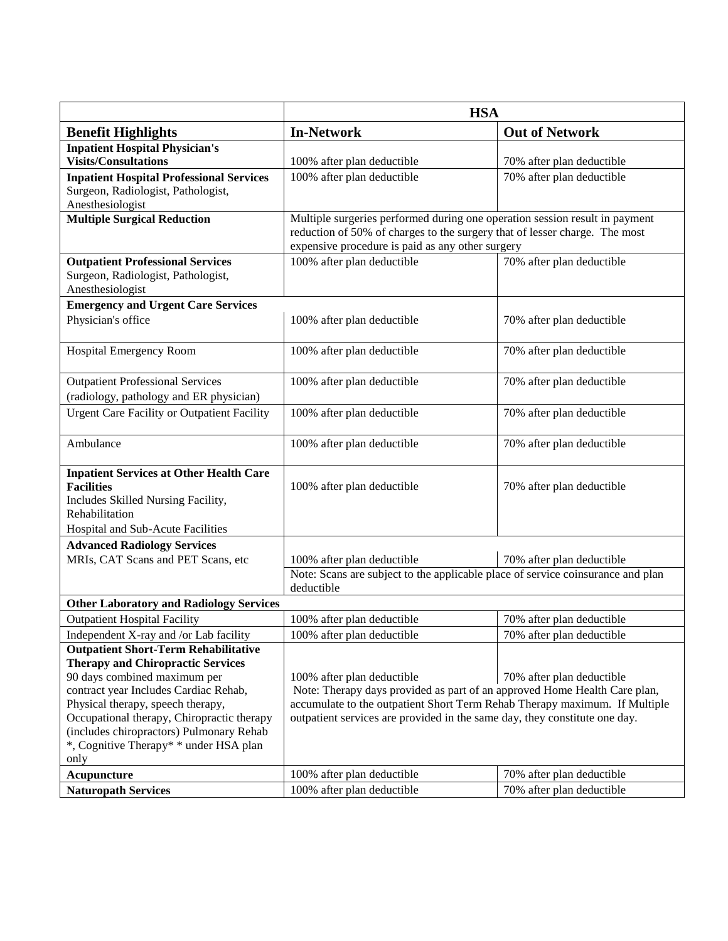|                                                                                                                                                                  | <b>HSA</b>                                                                                                                                                                                                    |                           |  |
|------------------------------------------------------------------------------------------------------------------------------------------------------------------|---------------------------------------------------------------------------------------------------------------------------------------------------------------------------------------------------------------|---------------------------|--|
| <b>Benefit Highlights</b>                                                                                                                                        | <b>In-Network</b>                                                                                                                                                                                             | <b>Out of Network</b>     |  |
| <b>Inpatient Hospital Physician's</b><br><b>Visits/Consultations</b>                                                                                             | 100% after plan deductible                                                                                                                                                                                    | 70% after plan deductible |  |
| <b>Inpatient Hospital Professional Services</b><br>Surgeon, Radiologist, Pathologist,<br>Anesthesiologist                                                        | 100% after plan deductible                                                                                                                                                                                    | 70% after plan deductible |  |
| <b>Multiple Surgical Reduction</b>                                                                                                                               | Multiple surgeries performed during one operation session result in payment<br>reduction of 50% of charges to the surgery that of lesser charge. The most<br>expensive procedure is paid as any other surgery |                           |  |
| <b>Outpatient Professional Services</b><br>Surgeon, Radiologist, Pathologist,<br>Anesthesiologist                                                                | 100% after plan deductible                                                                                                                                                                                    | 70% after plan deductible |  |
| <b>Emergency and Urgent Care Services</b>                                                                                                                        |                                                                                                                                                                                                               |                           |  |
| Physician's office                                                                                                                                               | 100% after plan deductible                                                                                                                                                                                    | 70% after plan deductible |  |
| <b>Hospital Emergency Room</b>                                                                                                                                   | 100% after plan deductible                                                                                                                                                                                    | 70% after plan deductible |  |
| <b>Outpatient Professional Services</b><br>(radiology, pathology and ER physician)                                                                               | 100% after plan deductible                                                                                                                                                                                    | 70% after plan deductible |  |
| <b>Urgent Care Facility or Outpatient Facility</b>                                                                                                               | 100% after plan deductible                                                                                                                                                                                    | 70% after plan deductible |  |
|                                                                                                                                                                  |                                                                                                                                                                                                               |                           |  |
| Ambulance                                                                                                                                                        | 100% after plan deductible                                                                                                                                                                                    | 70% after plan deductible |  |
| <b>Inpatient Services at Other Health Care</b><br><b>Facilities</b><br>Includes Skilled Nursing Facility,<br>Rehabilitation<br>Hospital and Sub-Acute Facilities | 100% after plan deductible                                                                                                                                                                                    | 70% after plan deductible |  |
| <b>Advanced Radiology Services</b>                                                                                                                               |                                                                                                                                                                                                               |                           |  |
| MRIs, CAT Scans and PET Scans, etc                                                                                                                               | 100% after plan deductible                                                                                                                                                                                    | 70% after plan deductible |  |
|                                                                                                                                                                  | Note: Scans are subject to the applicable place of service coinsurance and plan<br>deductible                                                                                                                 |                           |  |
| <b>Other Laboratory and Radiology Services</b>                                                                                                                   |                                                                                                                                                                                                               |                           |  |
| <b>Outpatient Hospital Facility</b>                                                                                                                              | 100% after plan deductible                                                                                                                                                                                    | 70% after plan deductible |  |
| Independent X-ray and /or Lab facility                                                                                                                           | 100% after plan deductible                                                                                                                                                                                    | 70% after plan deductible |  |
| <b>Outpatient Short-Term Rehabilitative</b>                                                                                                                      |                                                                                                                                                                                                               |                           |  |
| <b>Therapy and Chiropractic Services</b>                                                                                                                         |                                                                                                                                                                                                               |                           |  |
| 90 days combined maximum per                                                                                                                                     | 100% after plan deductible                                                                                                                                                                                    | 70% after plan deductible |  |
| contract year Includes Cardiac Rehab,                                                                                                                            | Note: Therapy days provided as part of an approved Home Health Care plan,                                                                                                                                     |                           |  |
| Physical therapy, speech therapy,                                                                                                                                | accumulate to the outpatient Short Term Rehab Therapy maximum. If Multiple                                                                                                                                    |                           |  |
| Occupational therapy, Chiropractic therapy<br>(includes chiropractors) Pulmonary Rehab                                                                           | outpatient services are provided in the same day, they constitute one day.                                                                                                                                    |                           |  |
| *, Cognitive Therapy* * under HSA plan                                                                                                                           |                                                                                                                                                                                                               |                           |  |
| only                                                                                                                                                             |                                                                                                                                                                                                               |                           |  |
| <b>Acupuncture</b>                                                                                                                                               | 100% after plan deductible                                                                                                                                                                                    | 70% after plan deductible |  |
| <b>Naturopath Services</b>                                                                                                                                       | 100% after plan deductible                                                                                                                                                                                    | 70% after plan deductible |  |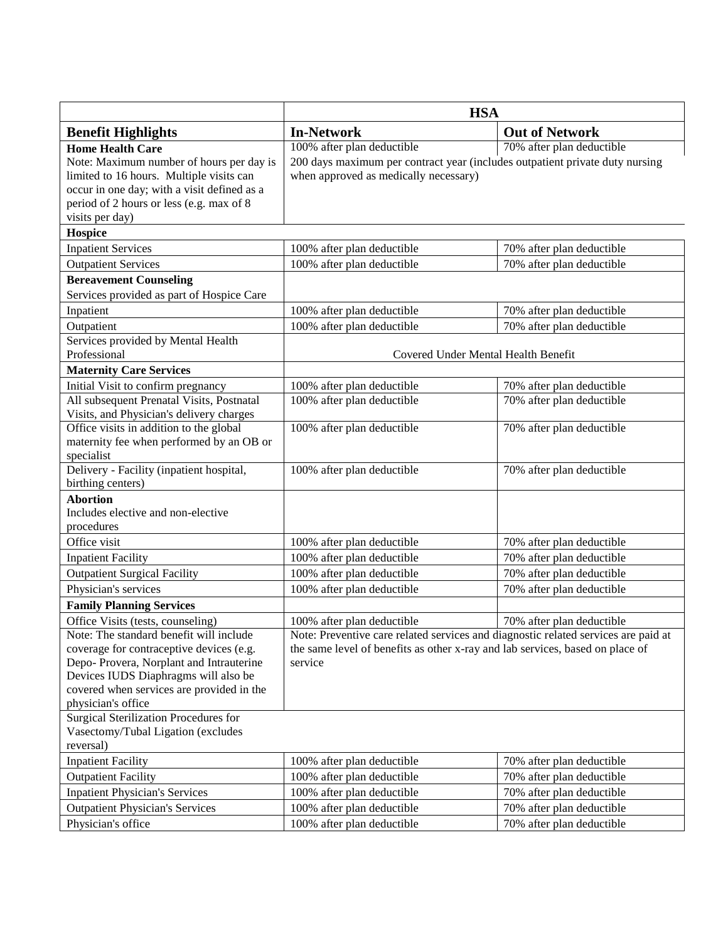|                                                        | <b>HSA</b>                                                                         |                           |  |
|--------------------------------------------------------|------------------------------------------------------------------------------------|---------------------------|--|
| <b>Benefit Highlights</b>                              | <b>Out of Network</b><br><b>In-Network</b>                                         |                           |  |
| <b>Home Health Care</b>                                | 100% after plan deductible                                                         | 70% after plan deductible |  |
| Note: Maximum number of hours per day is               | 200 days maximum per contract year (includes outpatient private duty nursing       |                           |  |
| limited to 16 hours. Multiple visits can               | when approved as medically necessary)                                              |                           |  |
| occur in one day; with a visit defined as a            |                                                                                    |                           |  |
| period of 2 hours or less (e.g. max of 8               |                                                                                    |                           |  |
| visits per day)                                        |                                                                                    |                           |  |
| Hospice                                                |                                                                                    |                           |  |
| <b>Inpatient Services</b>                              | 100% after plan deductible                                                         | 70% after plan deductible |  |
| <b>Outpatient Services</b>                             | 100% after plan deductible                                                         | 70% after plan deductible |  |
| <b>Bereavement Counseling</b>                          |                                                                                    |                           |  |
| Services provided as part of Hospice Care              |                                                                                    |                           |  |
| Inpatient                                              | 100% after plan deductible                                                         | 70% after plan deductible |  |
| Outpatient                                             | 100% after plan deductible                                                         | 70% after plan deductible |  |
| Services provided by Mental Health                     |                                                                                    |                           |  |
| Professional                                           | Covered Under Mental Health Benefit                                                |                           |  |
| <b>Maternity Care Services</b>                         |                                                                                    |                           |  |
| Initial Visit to confirm pregnancy                     | 100% after plan deductible                                                         | 70% after plan deductible |  |
| All subsequent Prenatal Visits, Postnatal              | 100% after plan deductible                                                         | 70% after plan deductible |  |
| Visits, and Physician's delivery charges               |                                                                                    |                           |  |
| Office visits in addition to the global                | 100% after plan deductible                                                         | 70% after plan deductible |  |
| maternity fee when performed by an OB or<br>specialist |                                                                                    |                           |  |
| Delivery - Facility (inpatient hospital,               | 100% after plan deductible                                                         | 70% after plan deductible |  |
| birthing centers)                                      |                                                                                    |                           |  |
| <b>Abortion</b>                                        |                                                                                    |                           |  |
| Includes elective and non-elective                     |                                                                                    |                           |  |
| procedures                                             |                                                                                    |                           |  |
| Office visit                                           | 100% after plan deductible                                                         | 70% after plan deductible |  |
| <b>Inpatient Facility</b>                              | 100% after plan deductible                                                         | 70% after plan deductible |  |
| <b>Outpatient Surgical Facility</b>                    | 100% after plan deductible                                                         | 70% after plan deductible |  |
| Physician's services                                   | 100% after plan deductible                                                         | 70% after plan deductible |  |
| <b>Family Planning Services</b>                        |                                                                                    |                           |  |
| Office Visits (tests, counseling)                      | 100% after plan deductible                                                         | 70% after plan deductible |  |
| Note: The standard benefit will include                | Note: Preventive care related services and diagnostic related services are paid at |                           |  |
| coverage for contraceptive devices (e.g.               | the same level of benefits as other x-ray and lab services, based on place of      |                           |  |
| Depo-Provera, Norplant and Intrauterine                | service                                                                            |                           |  |
| Devices IUDS Diaphragms will also be                   |                                                                                    |                           |  |
| covered when services are provided in the              |                                                                                    |                           |  |
| physician's office                                     |                                                                                    |                           |  |
| Surgical Sterilization Procedures for                  |                                                                                    |                           |  |
| Vasectomy/Tubal Ligation (excludes                     |                                                                                    |                           |  |
| reversal)                                              |                                                                                    |                           |  |
| <b>Inpatient Facility</b>                              | 100% after plan deductible                                                         | 70% after plan deductible |  |
| <b>Outpatient Facility</b>                             | 100% after plan deductible                                                         | 70% after plan deductible |  |
| <b>Inpatient Physician's Services</b>                  | 100% after plan deductible                                                         | 70% after plan deductible |  |
| <b>Outpatient Physician's Services</b>                 | 100% after plan deductible                                                         | 70% after plan deductible |  |
| Physician's office                                     | 100% after plan deductible                                                         | 70% after plan deductible |  |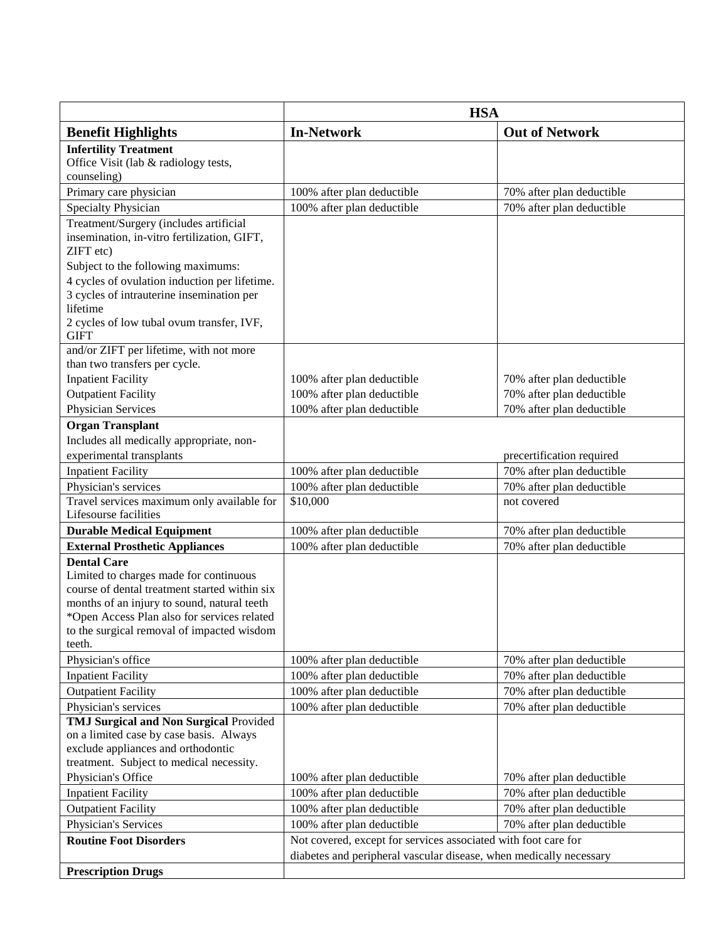|                                                                                            | <b>HSA</b>                                                         |                           |  |
|--------------------------------------------------------------------------------------------|--------------------------------------------------------------------|---------------------------|--|
| <b>Benefit Highlights</b>                                                                  | <b>In-Network</b>                                                  | <b>Out of Network</b>     |  |
| <b>Infertility Treatment</b>                                                               |                                                                    |                           |  |
| Office Visit (lab & radiology tests,                                                       |                                                                    |                           |  |
| counseling)                                                                                |                                                                    |                           |  |
| Primary care physician                                                                     | 100% after plan deductible                                         | 70% after plan deductible |  |
| Specialty Physician                                                                        | 100% after plan deductible                                         | 70% after plan deductible |  |
| Treatment/Surgery (includes artificial                                                     |                                                                    |                           |  |
| insemination, in-vitro fertilization, GIFT,                                                |                                                                    |                           |  |
| ZIFT etc)                                                                                  |                                                                    |                           |  |
| Subject to the following maximums:                                                         |                                                                    |                           |  |
| 4 cycles of ovulation induction per lifetime.                                              |                                                                    |                           |  |
| 3 cycles of intrauterine insemination per<br>lifetime                                      |                                                                    |                           |  |
| 2 cycles of low tubal ovum transfer, IVF,                                                  |                                                                    |                           |  |
| <b>GIFT</b>                                                                                |                                                                    |                           |  |
| and/or ZIFT per lifetime, with not more                                                    |                                                                    |                           |  |
| than two transfers per cycle.                                                              |                                                                    |                           |  |
| <b>Inpatient Facility</b>                                                                  | 100% after plan deductible                                         | 70% after plan deductible |  |
| <b>Outpatient Facility</b>                                                                 | 100% after plan deductible                                         | 70% after plan deductible |  |
| Physician Services                                                                         | 100% after plan deductible                                         | 70% after plan deductible |  |
| <b>Organ Transplant</b>                                                                    |                                                                    |                           |  |
| Includes all medically appropriate, non-                                                   |                                                                    |                           |  |
| experimental transplants                                                                   |                                                                    | precertification required |  |
| <b>Inpatient Facility</b>                                                                  | 100% after plan deductible                                         | 70% after plan deductible |  |
| Physician's services                                                                       | 100% after plan deductible                                         | 70% after plan deductible |  |
| Travel services maximum only available for                                                 | \$10,000                                                           | not covered               |  |
| Lifesourse facilities                                                                      |                                                                    |                           |  |
| <b>Durable Medical Equipment</b>                                                           | 100% after plan deductible                                         | 70% after plan deductible |  |
| <b>External Prosthetic Appliances</b>                                                      | 100% after plan deductible                                         | 70% after plan deductible |  |
| <b>Dental Care</b>                                                                         |                                                                    |                           |  |
| Limited to charges made for continuous                                                     |                                                                    |                           |  |
| course of dental treatment started within six                                              |                                                                    |                           |  |
| months of an injury to sound, natural teeth<br>*Open Access Plan also for services related |                                                                    |                           |  |
| to the surgical removal of impacted wisdom                                                 |                                                                    |                           |  |
| teeth.                                                                                     |                                                                    |                           |  |
| Physician's office                                                                         | 100% after plan deductible                                         | 70% after plan deductible |  |
| <b>Inpatient Facility</b>                                                                  | 100% after plan deductible                                         | 70% after plan deductible |  |
| <b>Outpatient Facility</b>                                                                 | 100% after plan deductible                                         | 70% after plan deductible |  |
| Physician's services                                                                       | 100% after plan deductible                                         | 70% after plan deductible |  |
| TMJ Surgical and Non Surgical Provided                                                     |                                                                    |                           |  |
| on a limited case by case basis. Always                                                    |                                                                    |                           |  |
| exclude appliances and orthodontic                                                         |                                                                    |                           |  |
| treatment. Subject to medical necessity.                                                   |                                                                    |                           |  |
| Physician's Office                                                                         | 100% after plan deductible                                         | 70% after plan deductible |  |
| <b>Inpatient Facility</b>                                                                  | 100% after plan deductible                                         | 70% after plan deductible |  |
| <b>Outpatient Facility</b>                                                                 | 100% after plan deductible                                         | 70% after plan deductible |  |
| Physician's Services                                                                       | 100% after plan deductible                                         | 70% after plan deductible |  |
| <b>Routine Foot Disorders</b>                                                              | Not covered, except for services associated with foot care for     |                           |  |
|                                                                                            | diabetes and peripheral vascular disease, when medically necessary |                           |  |
| <b>Prescription Drugs</b>                                                                  |                                                                    |                           |  |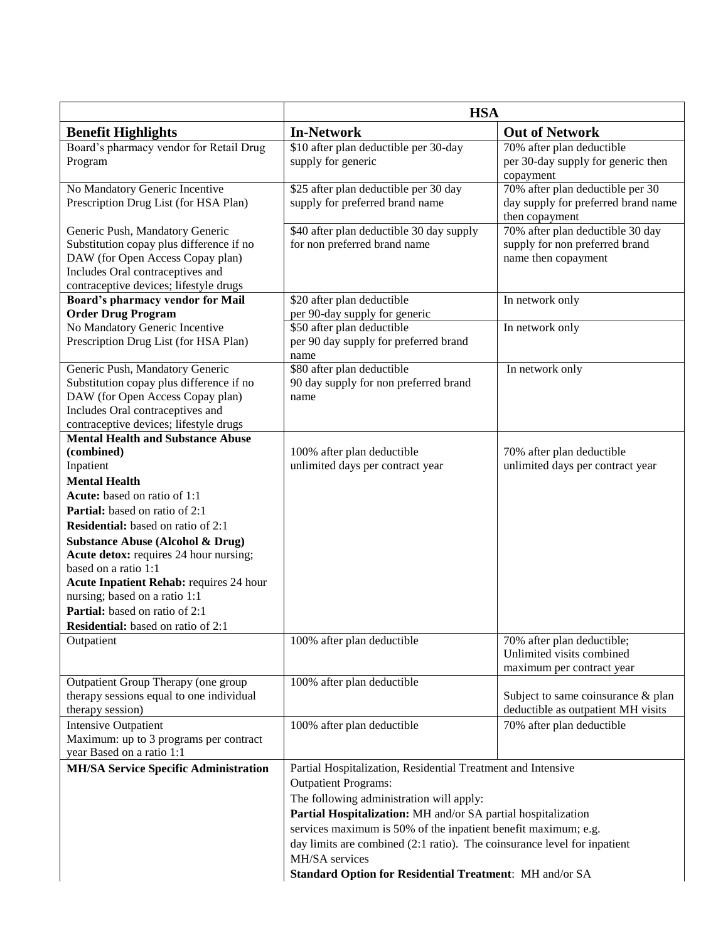|                                                                                                                                                                                               | <b>HSA</b>                                                                  |                                                                                           |  |
|-----------------------------------------------------------------------------------------------------------------------------------------------------------------------------------------------|-----------------------------------------------------------------------------|-------------------------------------------------------------------------------------------|--|
| <b>Benefit Highlights</b>                                                                                                                                                                     | <b>In-Network</b>                                                           | <b>Out of Network</b>                                                                     |  |
| Board's pharmacy vendor for Retail Drug                                                                                                                                                       | \$10 after plan deductible per 30-day                                       | 70% after plan deductible                                                                 |  |
| Program                                                                                                                                                                                       | supply for generic                                                          | per 30-day supply for generic then<br>copayment                                           |  |
| No Mandatory Generic Incentive<br>Prescription Drug List (for HSA Plan)                                                                                                                       | \$25 after plan deductible per 30 day<br>supply for preferred brand name    | 70% after plan deductible per 30<br>day supply for preferred brand name<br>then copayment |  |
| Generic Push, Mandatory Generic<br>Substitution copay plus difference if no<br>DAW (for Open Access Copay plan)<br>Includes Oral contraceptives and<br>contraceptive devices; lifestyle drugs | \$40 after plan deductible 30 day supply<br>for non preferred brand name    | 70% after plan deductible 30 day<br>supply for non preferred brand<br>name then copayment |  |
| Board's pharmacy vendor for Mail<br><b>Order Drug Program</b>                                                                                                                                 | \$20 after plan deductible<br>per 90-day supply for generic                 | In network only                                                                           |  |
| No Mandatory Generic Incentive<br>Prescription Drug List (for HSA Plan)                                                                                                                       | \$50 after plan deductible<br>per 90 day supply for preferred brand<br>name | In network only                                                                           |  |
| Generic Push, Mandatory Generic<br>Substitution copay plus difference if no<br>DAW (for Open Access Copay plan)<br>Includes Oral contraceptives and<br>contraceptive devices; lifestyle drugs | \$80 after plan deductible<br>90 day supply for non preferred brand<br>name | In network only                                                                           |  |
| <b>Mental Health and Substance Abuse</b>                                                                                                                                                      |                                                                             |                                                                                           |  |
| (combined)                                                                                                                                                                                    | 100% after plan deductible                                                  | 70% after plan deductible                                                                 |  |
| Inpatient<br><b>Mental Health</b>                                                                                                                                                             | unlimited days per contract year                                            | unlimited days per contract year                                                          |  |
| Acute: based on ratio of 1:1                                                                                                                                                                  |                                                                             |                                                                                           |  |
| Partial: based on ratio of 2:1                                                                                                                                                                |                                                                             |                                                                                           |  |
| <b>Residential:</b> based on ratio of 2:1                                                                                                                                                     |                                                                             |                                                                                           |  |
| <b>Substance Abuse (Alcohol &amp; Drug)</b>                                                                                                                                                   |                                                                             |                                                                                           |  |
| Acute detox: requires 24 hour nursing;                                                                                                                                                        |                                                                             |                                                                                           |  |
| based on a ratio 1:1                                                                                                                                                                          |                                                                             |                                                                                           |  |
| <b>Acute Inpatient Rehab: requires 24 hour</b>                                                                                                                                                |                                                                             |                                                                                           |  |
| nursing; based on a ratio 1:1                                                                                                                                                                 |                                                                             |                                                                                           |  |
| Partial: based on ratio of 2:1                                                                                                                                                                |                                                                             |                                                                                           |  |
| <b>Residential:</b> based on ratio of 2:1                                                                                                                                                     |                                                                             |                                                                                           |  |
| Outpatient                                                                                                                                                                                    | 100% after plan deductible                                                  | 70% after plan deductible;<br>Unlimited visits combined<br>maximum per contract year      |  |
| Outpatient Group Therapy (one group                                                                                                                                                           | 100% after plan deductible                                                  |                                                                                           |  |
| therapy sessions equal to one individual<br>therapy session)                                                                                                                                  |                                                                             | Subject to same coinsurance & plan<br>deductible as outpatient MH visits                  |  |
| <b>Intensive Outpatient</b>                                                                                                                                                                   | 100% after plan deductible                                                  | 70% after plan deductible                                                                 |  |
| Maximum: up to 3 programs per contract<br>year Based on a ratio 1:1                                                                                                                           |                                                                             |                                                                                           |  |
| <b>MH/SA Service Specific Administration</b>                                                                                                                                                  | Partial Hospitalization, Residential Treatment and Intensive                |                                                                                           |  |
|                                                                                                                                                                                               | <b>Outpatient Programs:</b>                                                 |                                                                                           |  |
|                                                                                                                                                                                               | The following administration will apply:                                    |                                                                                           |  |
|                                                                                                                                                                                               | Partial Hospitalization: MH and/or SA partial hospitalization               |                                                                                           |  |
|                                                                                                                                                                                               | services maximum is 50% of the inpatient benefit maximum; e.g.              |                                                                                           |  |
|                                                                                                                                                                                               | day limits are combined (2:1 ratio). The coinsurance level for inpatient    |                                                                                           |  |
|                                                                                                                                                                                               | MH/SA services                                                              |                                                                                           |  |
|                                                                                                                                                                                               | Standard Option for Residential Treatment: MH and/or SA                     |                                                                                           |  |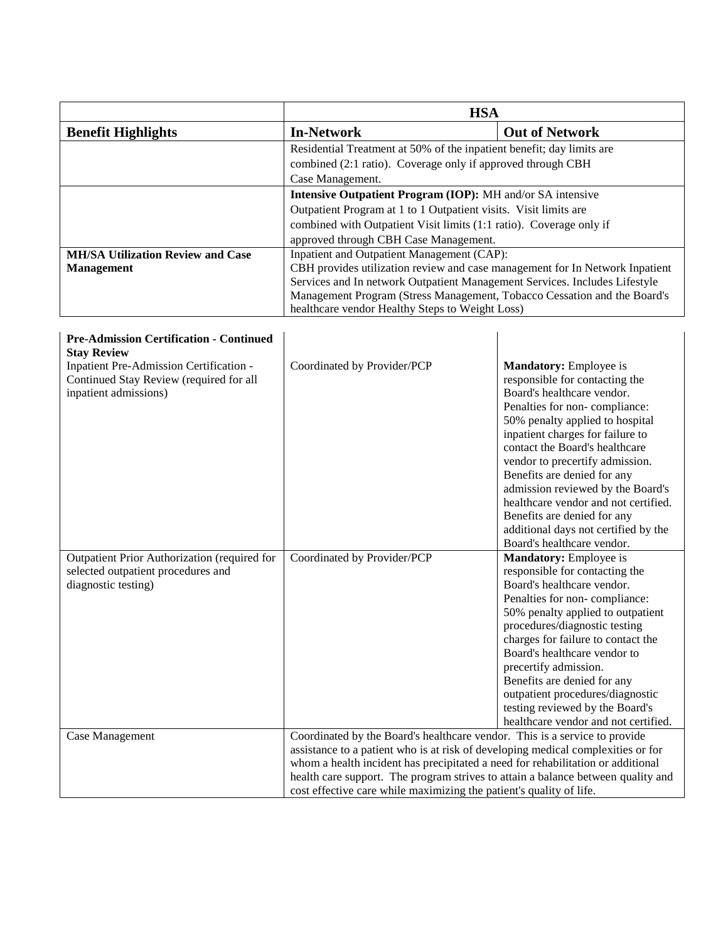|                                                | <b>HSA</b>                                                                   |                                |  |
|------------------------------------------------|------------------------------------------------------------------------------|--------------------------------|--|
| <b>Benefit Highlights</b>                      | <b>In-Network</b>                                                            | <b>Out of Network</b>          |  |
|                                                | Residential Treatment at 50% of the inpatient benefit; day limits are        |                                |  |
|                                                | combined (2:1 ratio). Coverage only if approved through CBH                  |                                |  |
|                                                | Case Management.                                                             |                                |  |
|                                                | Intensive Outpatient Program (IOP): MH and/or SA intensive                   |                                |  |
|                                                | Outpatient Program at 1 to 1 Outpatient visits. Visit limits are             |                                |  |
|                                                | combined with Outpatient Visit limits (1:1 ratio). Coverage only if          |                                |  |
|                                                | approved through CBH Case Management.                                        |                                |  |
| <b>MH/SA Utilization Review and Case</b>       | Inpatient and Outpatient Management (CAP):                                   |                                |  |
| <b>Management</b>                              | CBH provides utilization review and case management for In Network Inpatient |                                |  |
|                                                | Services and In network Outpatient Management Services. Includes Lifestyle   |                                |  |
|                                                | Management Program (Stress Management, Tobacco Cessation and the Board's     |                                |  |
|                                                | healthcare vendor Healthy Steps to Weight Loss)                              |                                |  |
|                                                |                                                                              |                                |  |
| <b>Pre-Admission Certification - Continued</b> |                                                                              |                                |  |
| <b>Stay Review</b>                             |                                                                              |                                |  |
| Inpatient Pre-Admission Certification -        | Coordinated by Provider/PCP                                                  | <b>Mandatory:</b> Employee is  |  |
| Continued Stay Review (required for all        |                                                                              | responsible for contacting the |  |

| hipationt I To Trannssion Cortineation       |                                                                                  | $\ldots$                             |
|----------------------------------------------|----------------------------------------------------------------------------------|--------------------------------------|
| Continued Stay Review (required for all      |                                                                                  | responsible for contacting the       |
| inpatient admissions)                        |                                                                                  | Board's healthcare vendor.           |
|                                              |                                                                                  | Penalties for non-compliance:        |
|                                              |                                                                                  | 50% penalty applied to hospital      |
|                                              |                                                                                  | inpatient charges for failure to     |
|                                              |                                                                                  | contact the Board's healthcare       |
|                                              |                                                                                  | vendor to precertify admission.      |
|                                              |                                                                                  | Benefits are denied for any          |
|                                              |                                                                                  | admission reviewed by the Board's    |
|                                              |                                                                                  | healthcare vendor and not certified. |
|                                              |                                                                                  | Benefits are denied for any          |
|                                              |                                                                                  | additional days not certified by the |
|                                              |                                                                                  | Board's healthcare vendor.           |
| Outpatient Prior Authorization (required for | Coordinated by Provider/PCP                                                      | Mandatory: Employee is               |
| selected outpatient procedures and           |                                                                                  | responsible for contacting the       |
| diagnostic testing)                          |                                                                                  | Board's healthcare vendor.           |
|                                              |                                                                                  | Penalties for non-compliance:        |
|                                              |                                                                                  | 50% penalty applied to outpatient    |
|                                              |                                                                                  | procedures/diagnostic testing        |
|                                              |                                                                                  | charges for failure to contact the   |
|                                              |                                                                                  | Board's healthcare vendor to         |
|                                              |                                                                                  | precertify admission.                |
|                                              |                                                                                  | Benefits are denied for any          |
|                                              |                                                                                  | outpatient procedures/diagnostic     |
|                                              |                                                                                  | testing reviewed by the Board's      |
|                                              |                                                                                  | healthcare vendor and not certified. |
| Case Management                              | Coordinated by the Board's healthcare vendor. This is a service to provide       |                                      |
|                                              | assistance to a patient who is at risk of developing medical complexities or for |                                      |
|                                              | whom a health incident has precipitated a need for rehabilitation or additional  |                                      |
|                                              | health care support. The program strives to attain a balance between quality and |                                      |
|                                              | cost effective care while maximizing the patient's quality of life.              |                                      |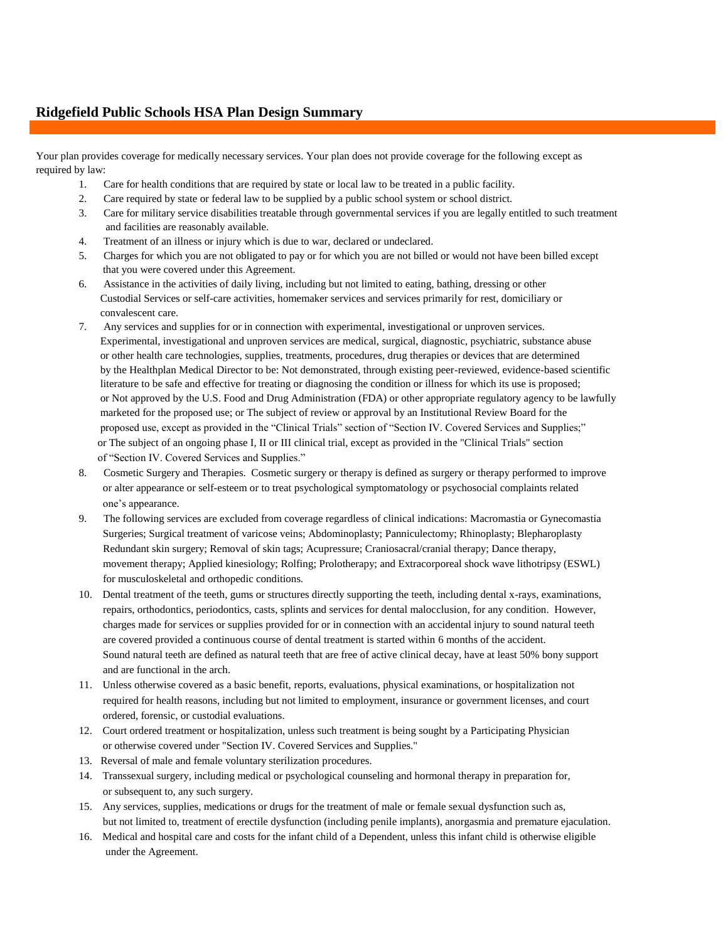### **Ridgefield Public Schools HSA Plan Design Summary**

Your plan provides coverage for medically necessary services. Your plan does not provide coverage for the following except as required by law:

- 1. Care for health conditions that are required by state or local law to be treated in a public facility.
- 2. Care required by state or federal law to be supplied by a public school system or school district.
- 3. Care for military service disabilities treatable through governmental services if you are legally entitled to such treatment and facilities are reasonably available.
- 4. Treatment of an illness or injury which is due to war, declared or undeclared.
- 5. Charges for which you are not obligated to pay or for which you are not billed or would not have been billed except that you were covered under this Agreement.
- 6. Assistance in the activities of daily living, including but not limited to eating, bathing, dressing or other Custodial Services or self-care activities, homemaker services and services primarily for rest, domiciliary or convalescent care.
- 7. Any services and supplies for or in connection with experimental, investigational or unproven services. Experimental, investigational and unproven services are medical, surgical, diagnostic, psychiatric, substance abuse or other health care technologies, supplies, treatments, procedures, drug therapies or devices that are determined by the Healthplan Medical Director to be: Not demonstrated, through existing peer-reviewed, evidence-based scientific literature to be safe and effective for treating or diagnosing the condition or illness for which its use is proposed; or Not approved by the U.S. Food and Drug Administration (FDA) or other appropriate regulatory agency to be lawfully marketed for the proposed use; or The subject of review or approval by an Institutional Review Board for the proposed use, except as provided in the "Clinical Trials" section of "Section IV. Covered Services and Supplies;" or The subject of an ongoing phase I, II or III clinical trial, except as provided in the "Clinical Trials" section of "Section IV. Covered Services and Supplies."
- 8. Cosmetic Surgery and Therapies. Cosmetic surgery or therapy is defined as surgery or therapy performed to improve or alter appearance or self-esteem or to treat psychological symptomatology or psychosocial complaints related one's appearance.
- 9. The following services are excluded from coverage regardless of clinical indications: Macromastia or Gynecomastia Surgeries; Surgical treatment of varicose veins; Abdominoplasty; Panniculectomy; Rhinoplasty; Blepharoplasty Redundant skin surgery; Removal of skin tags; Acupressure; Craniosacral/cranial therapy; Dance therapy, movement therapy; Applied kinesiology; Rolfing; Prolotherapy; and Extracorporeal shock wave lithotripsy (ESWL) for musculoskeletal and orthopedic conditions.
- 10. Dental treatment of the teeth, gums or structures directly supporting the teeth, including dental x-rays, examinations, repairs, orthodontics, periodontics, casts, splints and services for dental malocclusion, for any condition. However, charges made for services or supplies provided for or in connection with an accidental injury to sound natural teeth are covered provided a continuous course of dental treatment is started within 6 months of the accident. Sound natural teeth are defined as natural teeth that are free of active clinical decay, have at least 50% bony support and are functional in the arch.
- 11. Unless otherwise covered as a basic benefit, reports, evaluations, physical examinations, or hospitalization not required for health reasons, including but not limited to employment, insurance or government licenses, and court ordered, forensic, or custodial evaluations.
- 12. Court ordered treatment or hospitalization, unless such treatment is being sought by a Participating Physician or otherwise covered under "Section IV. Covered Services and Supplies."
- 13. Reversal of male and female voluntary sterilization procedures.
- 14. Transsexual surgery, including medical or psychological counseling and hormonal therapy in preparation for, or subsequent to, any such surgery.
- 15. Any services, supplies, medications or drugs for the treatment of male or female sexual dysfunction such as, but not limited to, treatment of erectile dysfunction (including penile implants), anorgasmia and premature ejaculation.
- 16. Medical and hospital care and costs for the infant child of a Dependent, unless this infant child is otherwise eligible under the Agreement.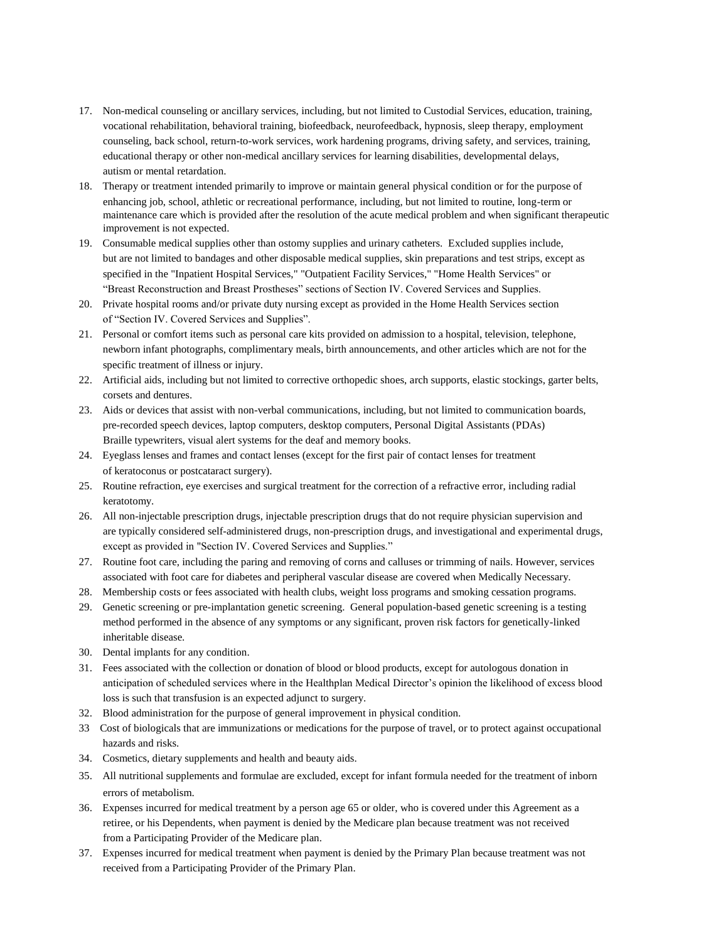- 17. Non-medical counseling or ancillary services, including, but not limited to Custodial Services, education, training, vocational rehabilitation, behavioral training, biofeedback, neurofeedback, hypnosis, sleep therapy, employment counseling, back school, return-to-work services, work hardening programs, driving safety, and services, training, educational therapy or other non-medical ancillary services for learning disabilities, developmental delays, autism or mental retardation.
- 18. Therapy or treatment intended primarily to improve or maintain general physical condition or for the purpose of enhancing job, school, athletic or recreational performance, including, but not limited to routine, long-term or maintenance care which is provided after the resolution of the acute medical problem and when significant therapeutic improvement is not expected.
- 19. Consumable medical supplies other than ostomy supplies and urinary catheters. Excluded supplies include, but are not limited to bandages and other disposable medical supplies, skin preparations and test strips, except as specified in the "Inpatient Hospital Services," "Outpatient Facility Services," "Home Health Services" or "Breast Reconstruction and Breast Prostheses" sections of Section IV. Covered Services and Supplies.
- 20. Private hospital rooms and/or private duty nursing except as provided in the Home Health Services section of "Section IV. Covered Services and Supplies".
- 21. Personal or comfort items such as personal care kits provided on admission to a hospital, television, telephone, newborn infant photographs, complimentary meals, birth announcements, and other articles which are not for the specific treatment of illness or injury.
- 22. Artificial aids, including but not limited to corrective orthopedic shoes, arch supports, elastic stockings, garter belts, corsets and dentures.
- 23. Aids or devices that assist with non-verbal communications, including, but not limited to communication boards, pre-recorded speech devices, laptop computers, desktop computers, Personal Digital Assistants (PDAs) Braille typewriters, visual alert systems for the deaf and memory books.
- 24. Eyeglass lenses and frames and contact lenses (except for the first pair of contact lenses for treatment of keratoconus or postcataract surgery).
- 25. Routine refraction, eye exercises and surgical treatment for the correction of a refractive error, including radial keratotomy.
- 26. All non-injectable prescription drugs, injectable prescription drugs that do not require physician supervision and are typically considered self-administered drugs, non-prescription drugs, and investigational and experimental drugs, except as provided in "Section IV. Covered Services and Supplies."
- 27. Routine foot care, including the paring and removing of corns and calluses or trimming of nails. However, services associated with foot care for diabetes and peripheral vascular disease are covered when Medically Necessary.
- 28. Membership costs or fees associated with health clubs, weight loss programs and smoking cessation programs.
- 29. Genetic screening or pre-implantation genetic screening. General population-based genetic screening is a testing method performed in the absence of any symptoms or any significant, proven risk factors for genetically-linked inheritable disease.
- 30. Dental implants for any condition.
- 31. Fees associated with the collection or donation of blood or blood products, except for autologous donation in anticipation of scheduled services where in the Healthplan Medical Director's opinion the likelihood of excess blood loss is such that transfusion is an expected adjunct to surgery.
- 32. Blood administration for the purpose of general improvement in physical condition.
- 33 Cost of biologicals that are immunizations or medications for the purpose of travel, or to protect against occupational hazards and risks.
- 34. Cosmetics, dietary supplements and health and beauty aids.
- 35. All nutritional supplements and formulae are excluded, except for infant formula needed for the treatment of inborn errors of metabolism.
- 36. Expenses incurred for medical treatment by a person age 65 or older, who is covered under this Agreement as a retiree, or his Dependents, when payment is denied by the Medicare plan because treatment was not received from a Participating Provider of the Medicare plan.
- 37. Expenses incurred for medical treatment when payment is denied by the Primary Plan because treatment was not received from a Participating Provider of the Primary Plan.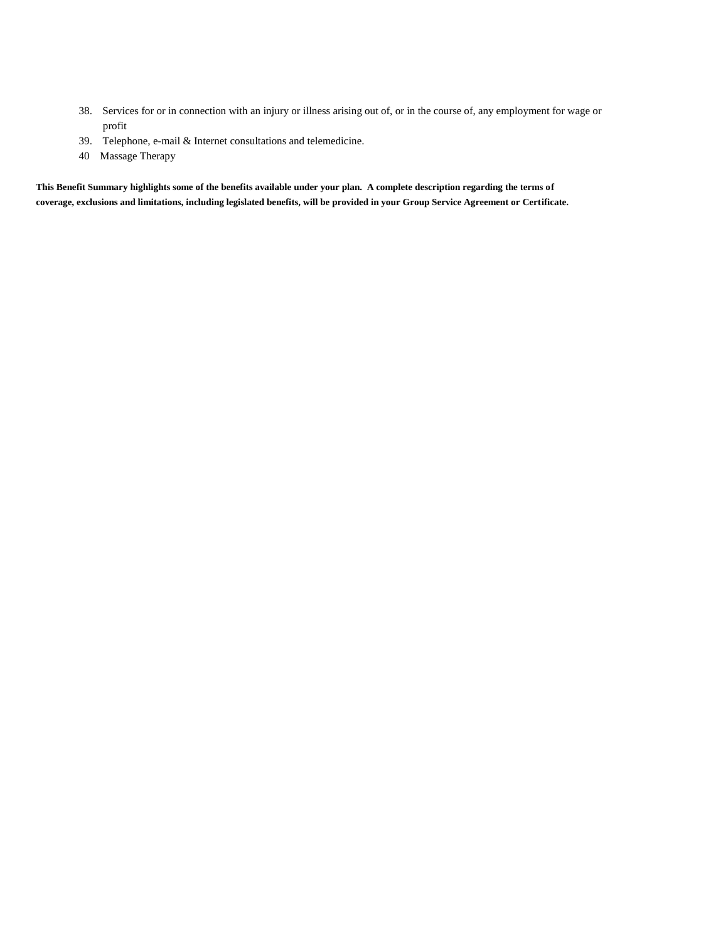- 38. Services for or in connection with an injury or illness arising out of, or in the course of, any employment for wage or profit
- 39. Telephone, e-mail & Internet consultations and telemedicine.
- 40 Massage Therapy

**This Benefit Summary highlights some of the benefits available under your plan. A complete description regarding the terms of coverage, exclusions and limitations, including legislated benefits, will be provided in your Group Service Agreement or Certificate.**